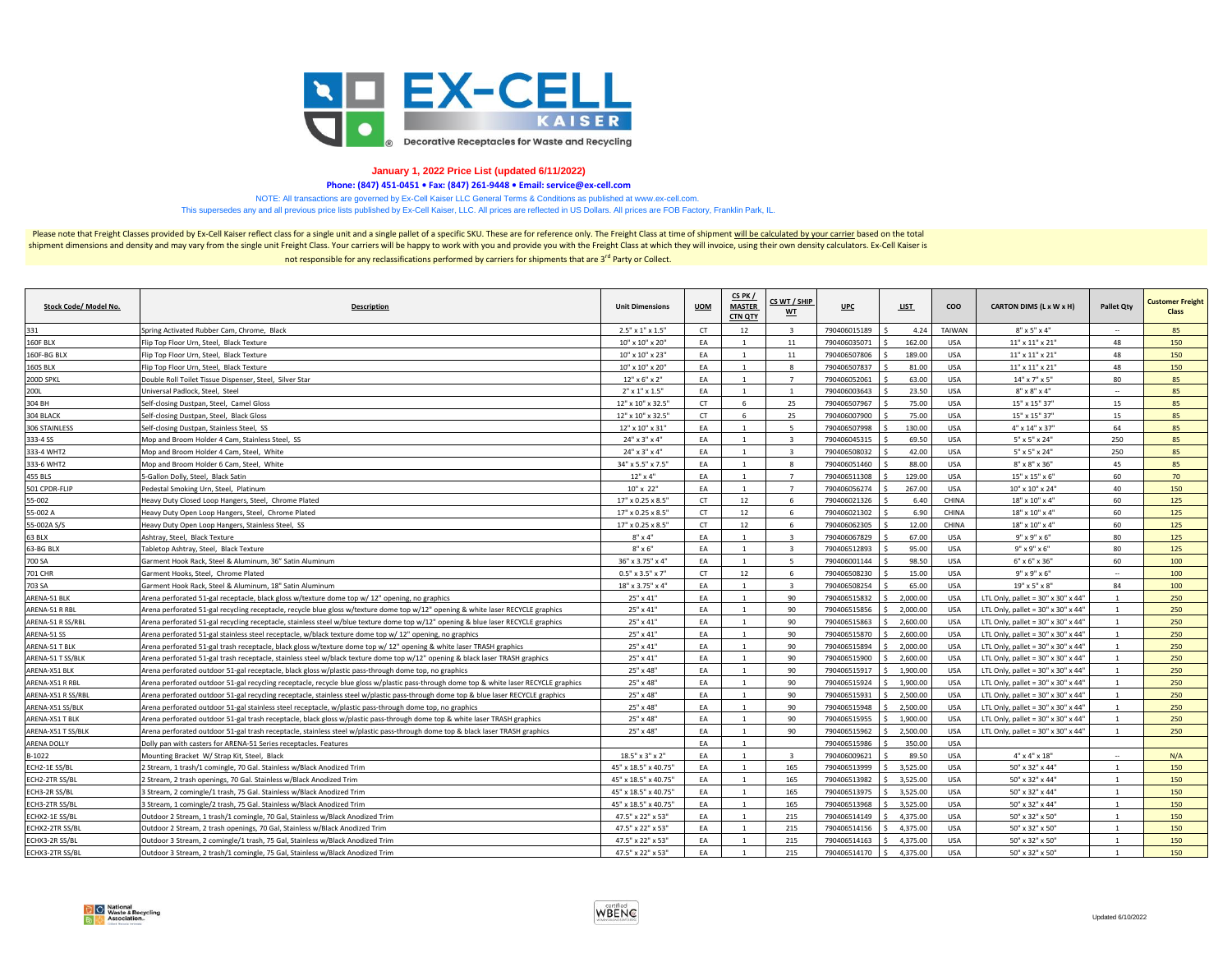

## **January 1, 2022 Price List (updated 6/11/2022)**

**Phone: (847) 451-0451 • Fax: (847) 261-9448 • Email: service@ex-cell.com**

NOTE: All transactions are governed by Ex-Cell Kaiser LLC General Terms & Conditions as published at www.ex-cell.com.

This supersedes any and all previous price lists published by Ex-Cell Kaiser, LLC. All prices are reflected in US Dollars. All prices are FOB Factory, Franklin Park, IL.

Please note that Freight Classes provided by Ex-Cell Kaiser reflect class for a single unit and a single pallet of a specific SKU. These are for reference only. The Freight Class at time of shipment will be calculated by y shipment dimensions and density and may vary from the single unit Freight Class. Your carriers will be happy to work with you and provide you with the Freight Class at which they will invoice, using their own density calcu not responsible for any reclassifications performed by carriers for shipments that are 3<sup>rd</sup> Party or Collect.

| Stock Code/ Model No. | <b>Description</b>                                                                                                                      | <b>Unit Dimensions</b>       | <b>UOM</b> | CS PK /<br><b>MASTER</b><br><b>CTN QTY</b> | CS WT / SHIP<br><b>WT</b> | <b>UPC</b>   | <b>LIST</b> | <b>COO</b>    | CARTON DIMS (L x W x H)                        | <b>Pallet Otv</b> | <b>Customer Freight</b><br><b>Class</b> |
|-----------------------|-----------------------------------------------------------------------------------------------------------------------------------------|------------------------------|------------|--------------------------------------------|---------------------------|--------------|-------------|---------------|------------------------------------------------|-------------------|-----------------------------------------|
| 331                   | Spring Activated Rubber Cam, Chrome, Black                                                                                              | $2.5" \times 1" \times 1.5"$ | <b>CT</b>  | 12                                         | $\overline{\mathbf{3}}$   | 790406015189 | 4.24        | <b>TAIWAN</b> | $8" \times 5" \times 4"$                       |                   | 85                                      |
| 160F BLX              | Flip Top Floor Urn, Steel. Black Texture                                                                                                | 10" x 10" x 20"              | EA         | $\overline{1}$                             | 11                        | 790406035071 | 162.00      | <b>USA</b>    | $11" \times 11" \times 21"$                    | 48                | 150                                     |
| 160F-BG BLX           | Flip Top Floor Urn, Steel, Black Texture                                                                                                | 10" x 10" x 23"              | EA         | $\overline{1}$                             | 11                        | 790406507806 | 189.00      | <b>USA</b>    | $11"$ x $11"$ x $21"$                          | 48                | 150                                     |
| <b>160S BLX</b>       | Flip Top Floor Urn, Steel, Black Texture                                                                                                | 10" x 10" x 20"              | EA         | $\overline{1}$                             | 8                         | 790406507837 | 81.00       | <b>USA</b>    | 11" x 11" x 21"                                | 48                | 150                                     |
| 200D SPKL             | Double Roll Toilet Tissue Dispenser, Steel, Silver Star                                                                                 | $12" \times 6" \times 2"$    | FA         |                                            | $\overline{7}$            | 790406052061 | 63.00       | <b>USA</b>    | $14" \times 7" \times 5"$                      | 80                | 85                                      |
| 200L                  | Universal Padlock, Steel, Steel                                                                                                         | $2" \times 1" \times 1.5"$   | EA         | $\overline{1}$                             | $\overline{1}$            | 790406003643 | 23.50       | <b>USA</b>    | $8" \times 8" \times 4"$                       |                   | 85                                      |
| 304 BH                | Self-closing Dustpan, Steel, Camel Gloss                                                                                                | 12" x 10" x 32.5"            | <b>CT</b>  | 6                                          | 25                        | 790406507967 | 75.00       | <b>USA</b>    | 15" x 15" 37"                                  | 15                | 85                                      |
| 304 BLACK             | Self-closing Dustpan, Steel, Black Gloss                                                                                                | 12" x 10" x 32.5"            | <b>CT</b>  | 6                                          | 25                        | 790406007900 | 75.00       | <b>USA</b>    | 15" x 15" 37"                                  | 15                | 85                                      |
| 306 STAINLESS         | Self-closing Dustpan, Stainless Steel, SS                                                                                               | 12" x 10" x 31"              | EA         | 1                                          | - 5                       | 790406507998 | 130.00      | <b>USA</b>    | $4" \times 14" \times 37"$                     | 64                | 85                                      |
| 333-4 SS              | Mop and Broom Holder 4 Cam, Stainless Steel, SS                                                                                         | $24" \times 3" \times 4"$    | EA         |                                            | ર                         | 790406045315 | 69.50       | <b>USA</b>    | 5" x 5" x 24"                                  | 250               | 85                                      |
| 333-4 WHT2            | Mop and Broom Holder 4 Cam, Steel, White                                                                                                | $24" \times 3" \times 4"$    | EA         | $\overline{1}$                             | $\overline{3}$            | 790406508032 | 42.00       | <b>USA</b>    | 5" x 5" x 24"                                  | 250               | 85                                      |
| 333-6 WHT2            | Mop and Broom Holder 6 Cam, Steel, White                                                                                                | 34" x 5.5" x 7.5"            | EA         | $\overline{1}$                             | 8                         | 790406051460 | 88.00       | USA           | 8" x 8" x 36"                                  | 45                | 85                                      |
| 455 BLS               | 5-Gallon Dolly, Steel, Black Satin                                                                                                      | $12"$ x 4"                   | EA         | <sup>1</sup>                               | $\overline{7}$            | 790406511308 | 129.00      | <b>USA</b>    | 15" x 15" x 6"                                 | 60                | 70                                      |
| 501 CPDR-FLIP         | Pedestal Smoking Urn, Steel, Platinum                                                                                                   | 10" x 22"                    | FA         | $\overline{1}$                             | $\overline{7}$            | 790406056274 | 267.00      | <b>USA</b>    | 10" x 10" x 24"                                | 40                | 150                                     |
| 55-002                | Heavy Duty Closed Loop Hangers, Steel, Chrome Plated                                                                                    | 17" x 0.25 x 8.5"            | <b>CT</b>  | 12                                         | -6                        | 790406021326 | 6.40        | CHINA         | 18" x 10" x 4"                                 | 60                | 125                                     |
| 55-002 A              | Heavy Duty Open Loop Hangers, Steel, Chrome Plated                                                                                      | 17" x 0.25 x 8.5"            | CT.        | 12                                         | - 6                       | 790406021302 | 6.90        | CHINA         | 18" x 10" x 4"                                 | 60                | 125                                     |
| 55-002A S/S           | Heavy Duty Open Loop Hangers, Stainless Steel, SS                                                                                       | 17" x 0.25 x 8.5"            | <b>CT</b>  | 12                                         | -6                        | 790406062305 | 12.00       | CHINA         | 18" x 10" x 4"                                 | 60                | 125                                     |
| 63 BLX                | Ashtray, Steel, Black Texture                                                                                                           | $8" \times 4"$               | EA         | 1                                          | $\overline{\mathbf{3}}$   | 790406067829 | 67.00       | <b>USA</b>    | $9" \times 9" \times 6"$                       | 80                | 125                                     |
| 63-BG BLX             | Tabletop Ashtray, Steel, Black Texture                                                                                                  | $8" \times 6"$               | FA         | $\overline{1}$                             | $\overline{\mathbf{3}}$   | 790406512893 | 95.00       | <b>USA</b>    | $9" \times 9" \times 6"$                       | 80                | 125                                     |
| 700 SA                | Garment Hook Rack, Steel & Aluminum, 36" Satin Aluminum                                                                                 | 36" x 3.75" x 4"             | EA         |                                            | $\overline{5}$            | 790406001144 | 98.50       | <b>USA</b>    | $6" \times 6" \times 36"$                      | 60                | 100                                     |
| 701 CHR               | Garment Hooks, Steel, Chrome Plated                                                                                                     | $0.5" \times 3.5" \times 7"$ | <b>CT</b>  | 12                                         | -6                        | 790406508230 | 15.00       | <b>USA</b>    | $9" \times 9" \times 6"$                       | $\sim$            | 100                                     |
| 703 SA                | Garment Hook Rack, Steel & Aluminum, 18" Satin Aluminum                                                                                 | 18" x 3.75" x 4"             | EA         | $\overline{1}$                             | $\overline{a}$            | 790406508254 | 65.00       | <b>USA</b>    | 19" x 5" x 8"                                  | 84                | 100                                     |
| ARENA-51 BLK          | Arena perforated 51-gal receptacle, black gloss w/texture dome top w/ 12" opening, no graphics                                          | 25" x 41"                    | EA         | 1                                          | 90                        | 790406515832 | 2,000.00    | <b>USA</b>    | LTL Only, pallet = $30''$ x $30''$ x $44''$    | $\mathbf{1}$      | 250                                     |
| ARENA-51 R RBL        | Arena perforated 51-gal recycling receptacle, recycle blue gloss w/texture dome top w/12" opening & white laser RECYCLE graphics        | 25" x 41"                    | EA         | 1                                          | 90                        | 790406515856 | 2,000.00    | <b>USA</b>    | LTL Only, pallet = 30" x 30" x 44"             | 1                 | 250                                     |
| ARENA-51 R SS/RBL     | Arena perforated 51-gal recycling receptacle, stainless steel w/blue texture dome top w/12" opening & blue laser RECYCLE graphics       | 25" x 41"                    | EA         | $\overline{1}$                             | 90                        | 790406515863 | 2,600.00    | <b>USA</b>    | LTL Only, pallet = $30''$ x $30''$ x $44''$    | $\mathbf{1}$      | 250                                     |
| ARENA-51 SS           | Arena perforated 51-gal stainless steel receptacle, w/black texture dome top w/ 12" opening, no graphics                                | 25" x 41"                    | EA         | $\mathbf{1}$                               | 90                        | 790406515870 | 2,600.00    | <b>USA</b>    | LTL Only, pallet = $30''$ x $30''$ x $44''$    | $\mathbf{1}$      | 250                                     |
| ARENA-51 T BLK        | Arena perforated 51-gal trash receptacle, black gloss w/texture dome top w/ 12" opening & white laser TRASH graphics                    | 25" x 41"                    | EA         | $\overline{1}$                             | 90                        | 790406515894 | 2,000.00    | <b>USA</b>    | LTL Only, pallet = $30''$ x $30''$ x $44''$    | $\mathbf{1}$      | 250                                     |
| ARENA-51 T SS/BLK     | Arena perforated 51-gal trash receptacle, stainless steel w/black texture dome top w/12" opening & black laser TRASH graphics           | 25" x 41"                    | EA         | $\overline{1}$                             | 90                        | 790406515900 | 2,600.00    | <b>USA</b>    | LTL Only, pallet = $30''$ x $30''$ x $44''$    | $\mathbf{1}$      | 250                                     |
| ARENA-X51 BLK         | Arena perforated outdoor 51-gal receptacle, black gloss w/plastic pass-through dome top, no graphics                                    | 25" x 48"                    | EA         | $\overline{1}$                             | 90                        | 790406515917 | 1,900.00    | <b>USA</b>    | LTL Only, pallet = $30''$ x $30''$ x $44'$     | $\mathbf{1}$      | 250                                     |
| ARENA-X51 R RBL       | Arena perforated outdoor 51-gal recycling receptacle, recycle blue gloss w/plastic pass-through dome top & white laser RECYCLE graphics | 25" x 48"                    | EA         | $\overline{1}$                             | 90                        | 790406515924 | 1,900.00    | USA           | LTL Only, pallet = $30''$ x $30''$ x $44''$    | $\mathbf{1}$      | 250                                     |
| ARENA-X51 R SS/RBL    | Arena perforated outdoor 51-gal recycling receptacle, stainless steel w/plastic pass-through dome top & blue laser RECYCLE graphics     | 25" x 48"                    | EA         | $\overline{1}$                             | 90                        | 790406515931 | 2,500.00    | <b>USA</b>    | LTL Only, pallet = $30" \times 30" \times 44"$ | 1                 | 250                                     |
| ARENA-X51 SS/BLK      | Arena perforated outdoor 51-gal stainless steel receptacle, w/plastic pass-through dome top, no graphics                                | 25" x 48"                    | <b>FA</b>  |                                            | 90                        | 790406515948 | 2,500.00    | <b>USA</b>    | LTL Only, pallet = $30" \times 30" \times 44"$ |                   | 250                                     |
| ARENA-X51 T BLK       | Arena perforated outdoor 51-gal trash receptacle, black gloss w/plastic pass-through dome top & white laser TRASH graphics              | 25" x 48"                    | EA         | $\overline{1}$                             | 90                        | 790406515955 | 1,900.00    | USA           | LTL Only, pallet = $30''$ x $30''$ x $44''$    | 1                 | 250                                     |
| ARENA-X51 T SS/BLK    | Arena perforated outdoor 51-gal trash receptacle, stainless steel w/plastic pass-through dome top & black laser TRASH graphics          | 25" x 48"                    | EA         | $\overline{1}$                             | 90                        | 790406515962 | 2,500.00    | <b>USA</b>    | LTL Only, pallet = $30''$ x $30''$ x $44'$     | $\mathbf{1}$      | 250                                     |
| ARENA DOLLY           | Dolly pan with casters for ARENA-51 Series receptacles. Features                                                                        |                              | <b>FA</b>  | $\overline{1}$                             |                           | 790406515986 | 350.00      | <b>USA</b>    |                                                |                   |                                         |
| B-1022                | Mounting Bracket W/ Strap Kit, Steel, Black                                                                                             | 18.5" x 3" x 2"              | EA         |                                            | $\overline{\mathbf{z}}$   | 790406009621 | 89.50       | <b>USA</b>    | $4" \times 4" \times 18"$                      |                   | N/A                                     |
| ECH2-1E SS/BL         | 2 Stream, 1 trash/1 comingle, 70 Gal. Stainless w/Black Anodized Trim                                                                   | 45" x 18.5" x 40.75"         | EA         |                                            | 165                       | 790406513999 | 3.525.00    | <b>USA</b>    | 50" x 32" x 44"                                |                   | 150                                     |
| ECH2-2TR SS/BI        | 2 Stream, 2 trash openings, 70 Gal. Stainless w/Black Anodized Trim                                                                     | 45" x 18.5" x 40.75"         | EA         | $\overline{1}$                             | 165                       | 790406513982 | 3.525.00    | <b>USA</b>    | 50" x 32" x 44"                                | $\overline{1}$    | 150                                     |
| ECH3-2R SS/BL         | 3 Stream, 2 comingle/1 trash, 75 Gal. Stainless w/Black Anodized Trim                                                                   | 45" x 18.5" x 40.75"         | EA         | $\overline{1}$                             | 165                       | 790406513975 | 3,525.00    | USA           | 50" x 32" x 44"                                | $\mathbf{1}$      | 150                                     |
| ECH3-2TR SS/BI        | 3 Stream, 1 comingle/2 trash, 75 Gal. Stainless w/Black Anodized Trim                                                                   | 45" x 18.5" x 40.75"         | EA         |                                            | 165                       | 790406513968 | 3,525.00    | <b>USA</b>    | 50" x 32" x 44"                                |                   | 150                                     |
| ECHX2-1E SS/BL        | Outdoor 2 Stream, 1 trash/1 comingle, 70 Gal, Stainless w/Black Anodized Trim                                                           | 47.5" x 22" x 53"            | FA         | $\overline{1}$                             | 215                       | 790406514149 | 4.375.00    | <b>USA</b>    | 50" x 32" x 50"                                | $\mathbf{1}$      | 150                                     |
| ECHX2-2TR SS/BL       | Outdoor 2 Stream, 2 trash openings, 70 Gal, Stainless w/Black Anodized Trim                                                             | 47.5" x 22" x 53"            | EA         |                                            | 215                       | 790406514156 | 4,375.00    | <b>USA</b>    | 50" x 32" x 50"                                |                   | 150                                     |
| ECHX3-2R SS/BL        | Outdoor 3 Stream, 2 comingle/1 trash, 75 Gal, Stainless w/Black Anodized Trim                                                           | 47.5" x 22" x 53"            | EA         | $\overline{1}$                             | 215                       | 790406514163 | 4.375.00    | <b>USA</b>    | 50" x 32" x 50"                                | $\mathbf{1}$      | 150                                     |
| ECHX3-2TR SS/BL       | Outdoor 3 Stream, 2 trash/1 comingle, 75 Gal, Stainless w/Black Anodized Trim                                                           | 47.5" x 22" x 53"            | FA         | $\overline{1}$                             | 215                       | 790406514170 | 4.375.00    | <b>USA</b>    | 50" x 32" x 50"                                | $\mathbf{1}$      | 150                                     |

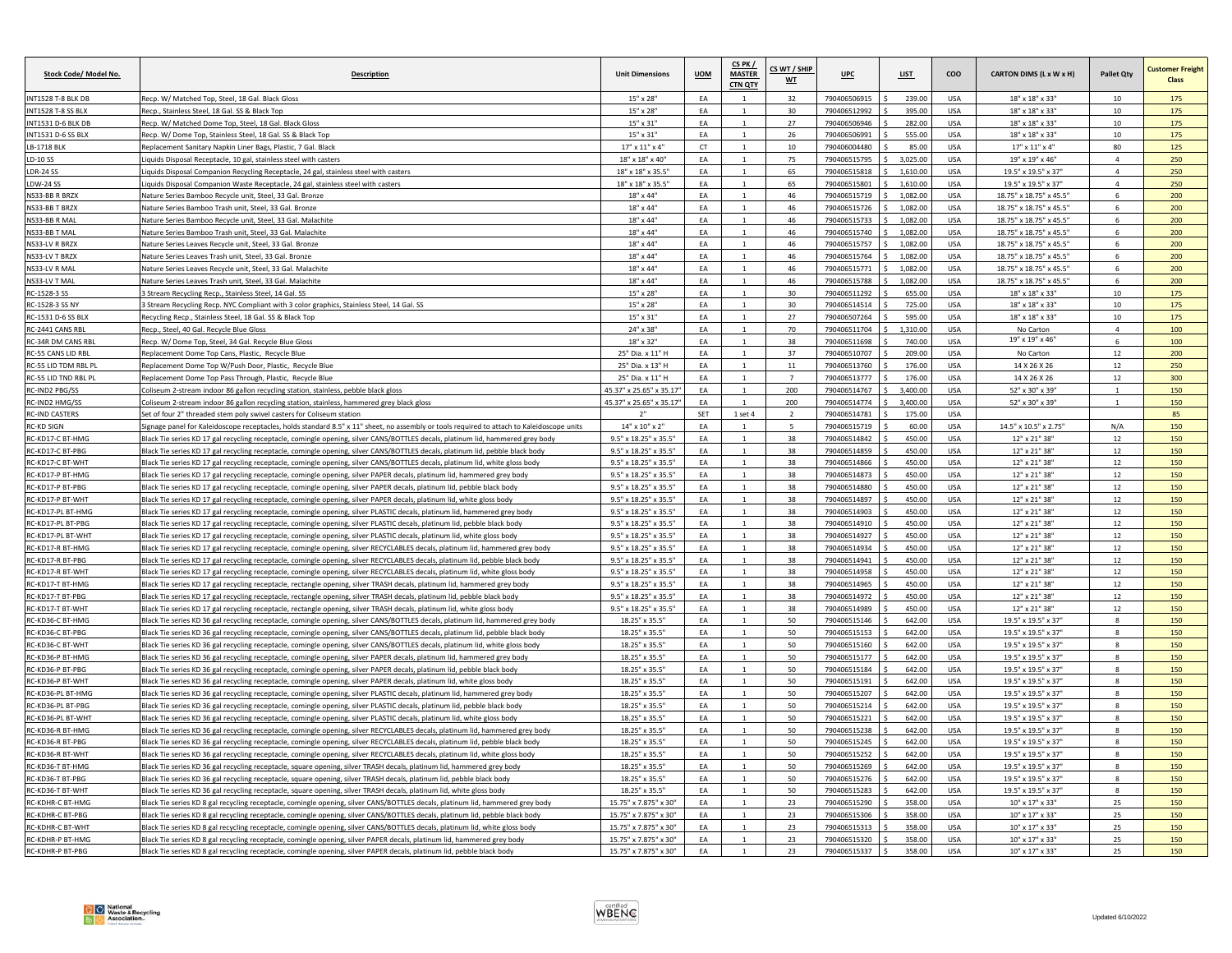| Stock Code/ Model No.      | Description                                                                                                                                | <b>Unit Dimensions</b>            | <b>UOM</b> | CS PK /<br><b>MASTER</b><br><b>CTN QTY</b> | CS WT / SHIP<br>WT | <b>UPC</b>   | <b>LIST</b> | coo         | CARTON DIMS (L x W x H)    | <b>Pallet Qty</b> | <b>Customer Freight</b><br>Class |
|----------------------------|--------------------------------------------------------------------------------------------------------------------------------------------|-----------------------------------|------------|--------------------------------------------|--------------------|--------------|-------------|-------------|----------------------------|-------------------|----------------------------------|
| NT1528 T-8 BLK DB          | Recp. W/ Matched Top, Steel, 18 Gal. Black Gloss                                                                                           | 15" x 28"                         | EA         | $\overline{1}$                             | 32                 | 790406506915 | 239.00      | USA         | 18" x 18" x 33"            | 10                | 175                              |
| NT1528 T-8 SS BLX          | Reco., Stainless Steel, 18 Gal, SS & Black Tor                                                                                             | $15" \times 28'$                  | EA         |                                            | 30                 | 790406512992 | 395.00      | <b>USA</b>  | 18" x 18" x 33"            | 10                | 175                              |
| NT1531 D-6 BLK DB          | Recp. W/ Matched Dome Top, Steel, 18 Gal. Black Gloss                                                                                      | $15" \times 31'$                  | EA         |                                            | 27                 | 790406506946 | 282.00      | USA         | 18" x 18" x 33"            | 10                | 175                              |
| INT1531 D-6 SS BLX         | Recp. W/ Dome Top, Stainless Steel, 18 Gal. SS & Black Top                                                                                 | 15" x 31"                         | EA         | $\overline{1}$                             | 26                 | 790406506991 | 555.00      | <b>USA</b>  | 18" x 18" x 33"            | $10\,$            | 175                              |
| LB-1718 BLK                | Replacement Sanitary Napkin Liner Bags, Plastic, 7 Gal. Black                                                                              | $17" \times 11" \times 4"$        | CT         |                                            | 10                 | 790406004480 | 85.00       | <b>USA</b>  | $17" \times 11" \times 4"$ | 80                | 125                              |
| D-10 SS                    | iquids Disposal Receptacle, 10 gal, stainless steel with casters                                                                           | 18" x 18" x 40"                   | EA         | $\overline{1}$                             | 75                 | 790406515795 | 3,025.00    | USA         | 19" x 19" x 46"            | $\overline{4}$    | 250                              |
| DR-24 SS                   | iquids Disposal Companion Recycling Receptacle, 24 gal, stainless steel with casters                                                       | 18" x 18" x 35.5"                 | FA         |                                            | 65                 | 790406515818 | 1,610.00    | <b>USA</b>  | 19.5" x 19.5" x 37"        | $\overline{a}$    | 250                              |
| DW-24 SS                   | iquids Disposal Companion Waste Receptacle, 24 gal, stainless steel with casters                                                           | 18" x 18" x 35.5"                 | EA         | $\mathbf{1}$                               | 65                 | 790406515801 | 1,610.00    | USA         | 19.5" x 19.5" x 37"        | $\overline{4}$    | 250                              |
| NS33-BB R BRZX             | Nature Series Bamboo Recycle unit, Steel, 33 Gal, Bronze                                                                                   | 18" x 44"                         | EA         |                                            | 46                 | 790406515719 | 1.082.00    | <b>USA</b>  | 18.75" x 18.75" x 45.5"    | $\mathbf{f}$      | 200                              |
| NS33-BB T BRZX             | Nature Series Bamboo Trash unit, Steel, 33 Gal. Bronze                                                                                     | 18" x 44'                         | EA         | $\mathbf{1}$                               | 46                 | 790406515726 | 1,082.00    | <b>USA</b>  | 18.75" x 18.75" x 45.5'    | 6                 | 200                              |
| NS33-BB R MAL              | Nature Series Bamboo Recycle unit, Steel, 33 Gal, Malachite                                                                                | 18" x 44'                         | EA         | $\mathbf{1}$                               | 46                 | 790406515733 | 1,082.00    | <b>USA</b>  | 18.75" x 18.75" x 45.5"    | 6                 | 200                              |
| NS33-BB T MAL              | Nature Series Bamboo Trash unit, Steel, 33 Gal. Malachite                                                                                  | 18" x 44"                         | EA         |                                            | 46                 | 790406515740 | 1,082.00    | <b>USA</b>  | 18.75" x 18.75" x 45.5"    | 6                 | 200                              |
| NS33-LV R BRZX             | Nature Series Leaves Recycle unit, Steel, 33 Gal, Bronze                                                                                   | $18" \times 44'$                  | EA         |                                            | 46                 | 790406515757 | 1.082.00    | <b>USA</b>  | 18.75" x 18.75" x 45.5"    | $\mathbf{f}$      | 200                              |
| NS33-LV T BRZ>             | Vature Series Leaves Trash unit, Steel, 33 Gal. Bronze                                                                                     | $18" \times 44'$                  | EA         |                                            | 46                 | 790406515764 | 1.082.0     | <b>USA</b>  | 18.75" x 18.75" x 45.5"    |                   | 200                              |
| NS33-LV R MAL              | Nature Series Leaves Recycle unit, Steel, 33 Gal. Malachite                                                                                | $18" \times 44"$                  | EA         | $\overline{1}$                             | 46                 | 790406515771 | 1,082.00    | <b>USA</b>  | 18.75" x 18.75" x 45.5"    | 6                 | 200                              |
| NS33-LV T MAL              | Nature Series Leaves Trash unit, Steel, 33 Gal. Malachite                                                                                  | 18" x 44"                         | EA         | $\mathbf{1}$                               | 46                 | 790406515788 | 1,082.00    | <b>USA</b>  | 18.75" x 18.75" x 45.5"    | 6                 | 200                              |
| <b>RC-1528-3 SS</b>        | 3 Stream Recycling Recp., Stainless Steel, 14 Gal, S!                                                                                      | $15"$ x $28'$                     | EA         |                                            | 30 <sub>o</sub>    | 790406511292 | 655.00      | <b>LISA</b> | 18" x 18" x 33"            | 10                | 175                              |
| RC-1528-3 SS NY            | 3 Stream Recycling Recp. NYC Compliant with 3 color graphics, Stainless Steel, 14 Gal. SS                                                  | 15" x 28"                         | EA         |                                            | 30                 | 790406514514 | 725.00      | USA         | 18" x 18" x 33"            | 10                | 175                              |
| RC-1531 D-6 SS BLX         | Recycling Recp., Stainless Steel, 18 Gal. SS & Black Top                                                                                   | $15" \times 31"$                  | EA         |                                            | 27                 | 790406507264 | 595.00      | <b>USA</b>  | 18" x 18" x 33"            | 10                | 175                              |
| RC-2441 CANS RBL           | Recp., Steel, 40 Gal. Recycle Blue Gloss                                                                                                   | 24" x 38'                         | EA         | $\mathbf{1}$                               | 70                 | 790406511704 | 1.310.00    | <b>USA</b>  | No Carton                  | $\overline{4}$    | 100                              |
| (C-34R DM CANS RBI         | Recp. W/ Dome Top. Steel. 34 Gal. Recycle Blue Gloss                                                                                       | 18" x 32"                         | EA         |                                            | 38                 | 790406511698 | 740.00      | <b>USA</b>  | 19" x 19" x 46"            | $\mathbf{f}$      | 100                              |
| RC-55 CANS LID RBL         | Replacement Dome Top Cans, Plastic, Recycle Blue                                                                                           | 25" Dia. x 11" H                  | EA         | $\mathbf{1}$                               | 37                 | 790406510707 | 209.00      | <b>USA</b>  | No Carton                  | 12                | 200                              |
| <b>C-55 LID TDM RBL PL</b> | Replacement Dome Top W/Push Door, Plastic, Recycle Blue                                                                                    | 25" Dia. x 13" H                  | EA         | 1                                          | $11\,$             | 790406513760 | 176.00      | USA         | 14 X 26 X 26               | 12                | 250                              |
| RC-55 LID TND RBL PL       | Replacement Dome Top Pass Through, Plastic, Recycle Blue                                                                                   | 25" Dia. x 11" H                  | FA         |                                            | $\overline{7}$     | 790406513777 | 176.00      | <b>USA</b>  | 14 X 26 X 26               | 12                | 300                              |
| <b>RC-IND2 PBG/SS</b>      | Coliseum 2-stream indoor 86 gallon recycling station, stainless, pebble black gloss                                                        | 45.37" x 25.65" x 35.17           | EA         |                                            | 200                | 790406514767 | 3,400.00    | <b>USA</b>  | 52" x 30" x 39"            | $\mathbf{1}$      | 150                              |
| RC-IND2 HMG/SS             | Coliseum 2-stream indoor 86 gallon recycling station, stainless, hammered grey black gloss                                                 | 45.37" x 25.65" x 35.17"          | EA         | $\mathbf{1}$                               | 200                | 790406514774 | 3,400.00    | <b>USA</b>  | 52" x 30" x 39"            | $\mathbf{1}$      | 150                              |
| <b>C-IND CASTERS</b>       | Set of four 2" threaded stem poly swivel casters for Coliseum station                                                                      | 2"                                | SET        | $1$ set $4$                                | $\overline{2}$     | 790406514781 | 175.00      | <b>USA</b>  |                            |                   | 85                               |
| <b>C-KD SIGN</b>           | Signage panel for Kaleidoscope receptacles, holds standard 8.5" x 11" sheet, no assembly or tools required to attach to Kaleidoscope units | $14" \times 10" \times 2"$        | EA         |                                            |                    | 790406515719 | 60.00       | <b>USA</b>  | 14.5" x 10.5" x 2.75"      | N/A               | 150                              |
| C-KD17-C BT-HMG            | Mack Tie series KD 17 gal recycling receptacle, comingle opening, silver CANS/BOTTLES decals, platinum lid, hammered grey body             | 9.5" x 18.25" x 35.5              | EA         |                                            | 38                 | 790406514842 | 450.00      | USA         | 12" x 21" 38"              | 12                | 150                              |
| RC-KD17-C BT-PBG           | Black Tie series KD 17 gal recycling receptacle, comingle opening, silver CANS/BOTTLES decals, platinum lid, pebble black body             | 9.5" x 18.25" x 35.5"             | FA         | $\overline{1}$                             | 38                 | 790406514859 | 450.00      | <b>USA</b>  | 12" x 21" 38"              | 12                | 150                              |
| RC-KD17-C BT-WHT           | Black Tie series KD 17 gal recycling receptacle, comingle opening, silver CANS/BOTTLES decals, platinum lid, white gloss body              | 9.5" x 18.25" x 35.5"             | EA         | 1                                          | 38                 | 790406514866 | 450.00      | <b>USA</b>  | 12" x 21" 38"              | 12                | 150                              |
| <b>C-KD17-P BT-HMG</b>     | Black Tie series KD 17 gal recycling receptacle, comingle opening, silver PAPER decals, platinum lid, hammered grey body                   | 9.5" x 18.25" x 35.5"             | EA         | $\overline{1}$                             | 38                 | 790406514873 | 450.00      | <b>USA</b>  | 12" x 21" 38'              | 12                | 150                              |
| <b>C-KD17-P BT-PBG</b>     | Black Tie series KD 17 gal recycling receptacle, comingle opening, silver PAPER decals, platinum lid, pebble black body                    | 9.5" x 18.25" x 35.5"             | EA         |                                            | 38                 | 790406514880 | 450.00      | USA         | 12" x 21" 38'              | 12                | 150                              |
| RC-KD17-P BT-WHT           | Black Tie series KD 17 gal recycling receptacle, comingle opening, silver PAPER decals, platinum lid, white gloss body                     | 9.5" x 18.25" x 35.5"             | EA         |                                            | 38                 | 790406514897 | 450.00      | <b>USA</b>  | 12" x 21" 38"              | 12                | 150                              |
| C-KD17-PL BT-HMG           | Black Tie series KD 17 gal recycling receptacle, comingle opening, silver PLASTIC decals, platinum lid, hammered grey body                 | 9.5" x 18.25" x 35.5"             | FA         | $\mathbf{1}$                               | 38                 | 790406514903 | 450.00      | <b>USA</b>  | 12" x 21" 38"              | 12                | 150                              |
| C-KD17-PL BT-PBG           | Black Tie series KD 17 gal recycling receptacle, comingle opening, silver PLASTIC decals, platinum lid, pebble black body                  | $9.5" \times 18.25" \times 35.5"$ | EA         | $\overline{1}$                             | 38                 | 790406514910 | 450.00      | <b>USA</b>  | 12" x 21" 38"              | 12                | 150                              |
| C-KD17-PL BT-WHT           | Black Tie series KD 17 gal recycling receptacle, comingle opening, silver PLASTIC decals, platinum lid, white gloss body                   | 9.5" x 18.25" x 35.5"             | EA         | 1                                          | 38                 | 790406514927 | 450.00      | <b>USA</b>  | 12" x 21" 38"              | 12                | 150                              |
| <b>C-KD17-R BT-HMG</b>     | Black Tie series KD 17 gal recycling receptacle, comingle opening, silver RECYCLABLES decals, platinum lid, hammered grey body             | 9.5" x 18.25" x 35.5"             | EA         |                                            | 38                 | 790406514934 | 450.00      | <b>USA</b>  | 12" x 21" 38"              | $12\,$            | 150                              |
| RC-KD17-R BT-PBG           | Black Tie series KD 17 gal recycling receptacle, comingle opening, silver RECYCLABLES decals, platinum lid, pebble black body              | 9.5" x 18.25" x 35.5"             | EA         |                                            | 38                 | 790406514941 | 450.00      | <b>USA</b>  | 12" x 21" 38"              | 12                | 150                              |
| <b>C-KD17-R BT-WHT</b>     | Black Tie series KD 17 gal recycling receptacle, comingle opening, silver RECYCLABLES decals, platinum lid, white gloss body               | 9.5" x 18.25" x 35.5"             | EA         |                                            | 38                 | 790406514958 | 450.00      | <b>USA</b>  | 12" x 21" 38"              | 12                | 150                              |
| RC-KD17-T BT-HMG           | Black Tie series KD 17 gal recycling receptacle, rectangle opening, silver TRASH decals, platinum lid, hammered grey body                  | 9.5" x 18.25" x 35.5"             | EA         | $\mathbf{1}$                               | 38                 | 790406514965 | 450.00      | <b>USA</b>  | 12" x 21" 38"              | 12                | 150                              |
| <b>C-KD17-T BT-PBG</b>     | Black Tie series KD 17 gal recycling receptacle, rectangle opening, silver TRASH decals, platinum lid, pebble black body                   | 9.5" x 18.25" x 35.5"             | EA         |                                            | 38                 | 790406514972 | 450.00      | <b>USA</b>  | 12" x 21" 38"              | 12                | 150                              |
| RC-KD17-T BT-WHT           | Black Tie series KD 17 gal recycling receptacle, rectangle opening, silver TRASH decals, platinum lid, white gloss body                    | $9.5"$ x 18.25" x 35.5"           | FA         |                                            | 38                 | 790406514989 | 450.00      | <b>USA</b>  | 12" x 21" 38"              | 12                | 150                              |
| <b>C-KD36-C BT-HMG</b>     | Black Tie series KD 36 gal recycling receptacle, comingle opening, silver CANS/BOTTLES decals, platinum lid, hammered grey body            | 18.25" x 35.5"                    | FA         |                                            | 50                 | 790406515146 | 642.00      | <b>USA</b>  | 19.5" x 19.5" x 37"        | $\mathbf{g}$      | 150                              |
| RC-KD36-C BT-PBG           | Black Tie series KD 36 gal recycling receptacle, comingle opening, silver CANS/BOTTLES decals, platinum lid, pebble black body             | 18.25" x 35.5"                    | FA         | $\overline{1}$                             | 50                 | 790406515153 | 642.00      | USA         | 19.5" x 19.5" x 37"        | 8                 | 150                              |
| RC-KD36-C BT-WHT           | Black Tie series KD 36 gal recycling receptacle, comingle opening, silver CANS/BOTTLES decals, platinum lid, white gloss body              | 18.25" x 35.5"                    | EA         | $\mathbf{1}$                               | 50                 | 790406515160 | 642.00      | <b>USA</b>  | 19.5" x 19.5" x 37"        | 8                 | 150                              |
| <b>C-KD36-P BT-HMG</b>     | Black Tie series KD 36 gal recycling receptacle, comingle opening, silver PAPER decals, platinum lid, hammered grey body                   | 18.25" x 35.5"                    | EA         | $\overline{1}$                             | 50                 | 790406515177 | 642.00      | <b>USA</b>  | 19.5" x 19.5" x 37"        | $8\phantom{1}$    | 150                              |
| RC-KD36-P BT-PBG           | Black Tie series KD 36 gal recycling receptacle, comingle opening, silver PAPER decals, platinum lid, pebble black body                    | 18.25" x 35.5"                    | EA         |                                            | 50                 | 790406515184 | 642.00      | <b>USA</b>  | 19.5" x 19.5" x 37"        | $\mathbf{g}$      | 150                              |
| <b>C-KD36-P BT-WHT</b>     | Black Tie series KD 36 gal recycling receptacle, comingle opening, silver PAPER decals, platinum lid, white gloss body                     | 18.25" x 35.5"                    | EA         |                                            | 50                 | 790406515191 | 642.00      | <b>USA</b>  | 19.5" x 19.5" x 37"        | 8                 | 150                              |
| RC-KD36-PL BT-HMG          | Black Tie series KD 36 gal recycling receptacle, comingle opening, silver PLASTIC decals, platinum lid, hammered grey body                 | 18.25" x 35.5"                    | EA         |                                            | 50                 | 790406515207 | 642.00      | <b>USA</b>  | 19.5" x 19.5" x 37"        | $\mathbf{R}$      | 150                              |
| C-KD36-PL BT-PBG           | Black Tie series KD 36 gal recycling receptacle, comingle opening, silver PLASTIC decals, platinum lid, pebble black body                  | 18.25" x 35.5"                    | EA         | $\overline{1}$                             | 50                 | 790406515214 | 642.00      | <b>USA</b>  | 19.5" x 19.5" x 37"        | $\mathbf{g}$      | 150                              |
| <b>C-KD36-PL BT-WHT</b>    | Black Tie series KD 36 gal recycling receptacle, comingle opening, silver PLASTIC decals, platinum lid, white gloss body                   | 18.25" x 35.5"                    | EA         | $\mathbf{1}$                               | 50                 | 790406515221 | 642.00      | USA         | 19.5" x 19.5" x 37"        | $8\phantom{1}$    | 150                              |
| C-KD36-R BT-HMG            | Black Tie series KD 36 gal recycling receptacle, comingle opening, silver RECYCLABLES decals, platinum lid, hammered grey body             | 18.25" x 35.5"                    | EA         |                                            | 50                 | 790406515238 | 642.00      | <b>USA</b>  | 19.5" x 19.5" x 37"        | 8                 | 150                              |
| <b>C-KD36-R BT-PBG</b>     | Black Tie series KD 36 gal recycling receptacle, comingle opening, silver RECYCLABLES decals, platinum lid, pebble black body              | 18.25" x 35.5"                    | EA         |                                            | 50                 | 790406515245 | 642.00      | <b>USA</b>  | 19.5" x 19.5" x 37"        | $\mathbf{R}$      | 150                              |
| C-KD36-R BT-WHT            | Black Tie series KD 36 gal recycling receptacle, comingle opening, silver RECYCLABLES decals, platinum lid, white gloss body               | 18.25" x 35.5"                    | EA         |                                            | 50                 | 790406515252 | 642.00      | USA         | 19.5" x 19.5" x 37'        | 8                 | 150                              |
| RC-KD36-T BT-HMG           | Black Tie series KD 36 gal recycling receptacle, square opening, silver TRASH decals, platinum lid, hammered grey body                     | 18.25" x 35.5"                    | EA         | $\mathbf{1}$                               | 50                 | 790406515269 | 642.00      | <b>USA</b>  | 19.5" x 19.5" x 37"        | $\mathbf{g}$      | 150                              |
| <b>C-KD36-T BT-PBG</b>     | Black Tie series KD 36 gal recycling receptacle, square opening, silver TRASH decals, platinum lid, pebble black body                      | 18.25" x 35.5"                    | EA         | $\mathbf{1}$                               | 50                 | 790406515276 | 642.00      | <b>USA</b>  | 19.5" x 19.5" x 37"        | 8                 | 150                              |
| RC-KD36-T BT-WHT           | Black Tie series KD 36 gal recycling receptacle, square opening, silver TRASH decals, platinum lid, white gloss body                       | 18.25" x 35.5"                    | EA         |                                            | 50                 | 790406515283 | 642.00      | USA         | 19.5" x 19.5" x 37"        | $\Omega$          | 150                              |
| C-KDHR-C BT-HMG            | Black Tie series KD 8 gal recycling receptacle, comingle opening, silver CANS/BOTTLES decals, platinum lid, hammered grey body             | 15.75" x 7.875" x 30'             | FA         |                                            | 23                 | 790406515290 | 358.00      | USA         | 10" x 17" x 33"            | 25                | 150                              |
| <b>C-KDHR-C BT-PBG</b>     | Black Tie series KD 8 gal recycling receptacle, comingle opening, silver CANS/BOTTLES decals, platinum lid, pebble black body              | 15.75" x 7.875" x 30"             | FA         |                                            | 23                 | 790406515306 | 358.00      | <b>USA</b>  | 10" x 17" x 33"            | 25                | 150                              |
| RC-KDHR-C BT-WHT           | Black Tie series KD 8 gal recycling receptacle, comingle opening, silver CANS/BOTTLES decals, platinum lid, white gloss body               | 15.75" x 7.875" x 30"             | EA         | $\mathbf{1}$                               | 23                 | 790406515313 | 358.00      | <b>USA</b>  | 10" x 17" x 33"            | 25                | 150                              |
| RC-KDHR-P BT-HMG           | Black Tie series KD 8 gal recycling receptacle, comingle opening, silver PAPER decals, platinum lid, hammered grey body                    | 15.75" x 7.875" x 30"             | EA         |                                            | 23                 | 790406515320 | 358.00      | <b>USA</b>  | 10" x 17" x 33"            | 25                | 150                              |
| RC-KDHR-P BT-PBG           | Black Tie series KD 8 gal recycling receptacle, comingle opening, silver PAPER decals, platinum lid, pebble black body                     | 15.75" x 7.875" x 30"             | EA         |                                            | 23                 | 790406515337 | 358.00      | <b>USA</b>  | 10" x 17" x 33"            | 25                | 150                              |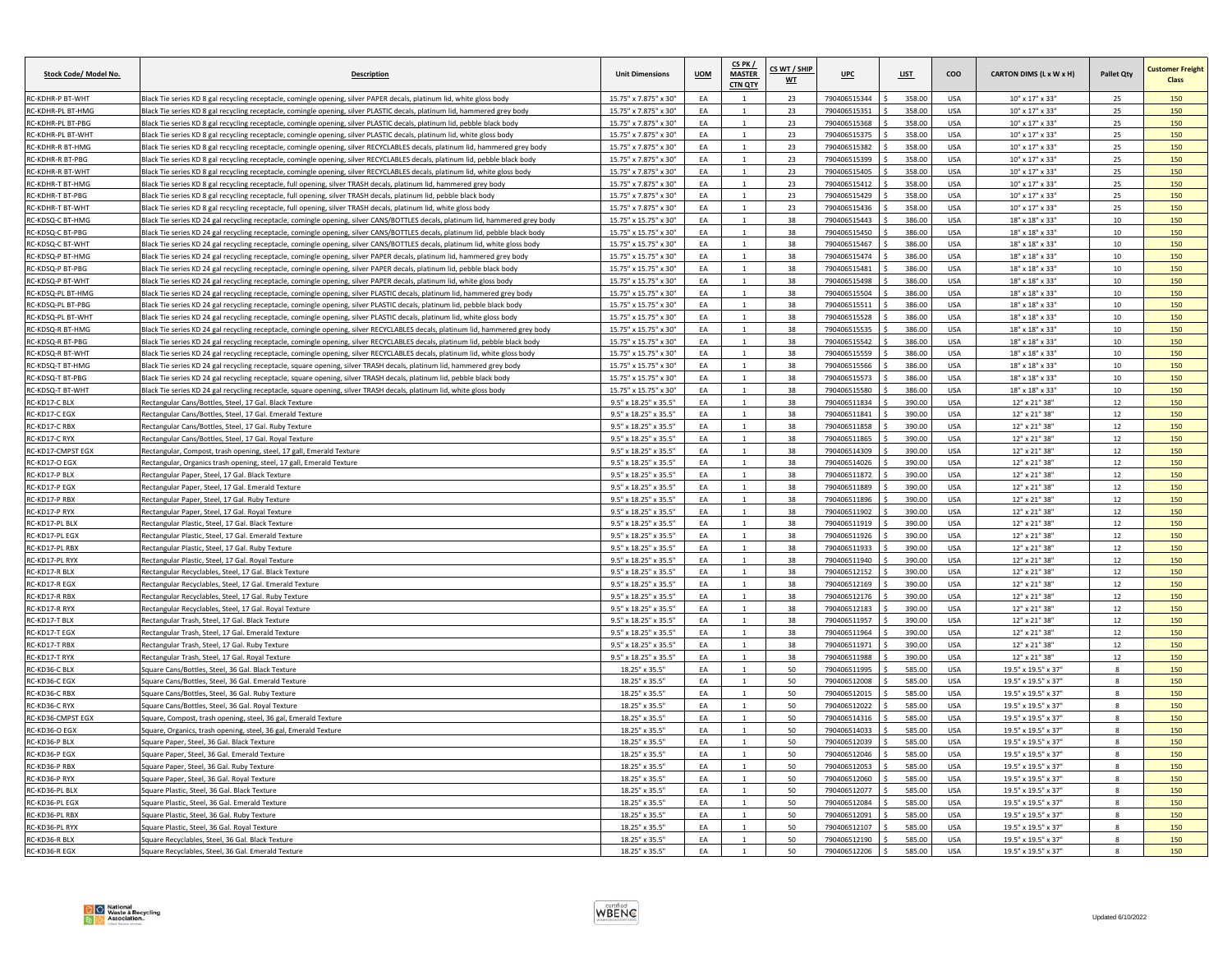| Stock Code/ Model No.   | <b>Description</b>                                                                                                                           | <b>Unit Dimensions</b>                         | <b>UOM</b> | CS PK /<br><b>MASTER</b><br><b>CTN QTY</b> | CS WT / SHIP<br>WT | <b>UPC</b>   | <b>LIST</b> | coo         | CARTON DIMS (L x W x H) | <b>Pallet Qty</b> | <b>Customer Freight</b><br>Class |
|-------------------------|----------------------------------------------------------------------------------------------------------------------------------------------|------------------------------------------------|------------|--------------------------------------------|--------------------|--------------|-------------|-------------|-------------------------|-------------------|----------------------------------|
| RC-KDHR-P BT-WHT        | Black Tie series KD 8 gal recycling receptacle, comingle opening, silver PAPER decals, platinum lid, white gloss body                        | 15.75" x 7.875" x 30"                          | EA         | $\overline{1}$                             | 23                 | 790406515344 | 358.00      | USA         | 10" x 17" x 33"         | 25                | 150                              |
| C-KDHR-PL BT-HMC        | Black Tie series KD 8 gal recycling receptacle, comingle opening, silver PLASTIC decals, platinum lid, hammered grey body                    | 15.75" x 7.875" x 30"                          | EA         |                                            | 23                 | 790406515351 | 358.0       | <b>USA</b>  | 10" x 17" x 33"         | 25                | 150                              |
| <b>C-KDHR-PL BT-PBG</b> | Black Tie series KD 8 gal recycling receptacle, comingle opening, silver PLASTIC decals, platinum lid, pebble black body                     | 15.75" x 7.875" x 30"                          | EA         |                                            | 23                 | 790406515368 | 358.00      | <b>USA</b>  | 10" x 17" x 33"         | 25                | 150                              |
| RC-KDHR-PL BT-WHT       | Black Tie series KD 8 gal recycling receptacle, comingle opening, silver PLASTIC decals, platinum lid, white gloss body                      | 15.75" x 7.875" x 30"                          | EA         | $\mathbf{1}$                               | 23                 | 790406515375 | 358.00      | <b>USA</b>  | 10" x 17" x 33"         | 25                | 150                              |
| RC-KDHR-R BT-HMG        | Black Tie series KD 8 gal recycling receptacle, comingle opening, silver RECYCLABLES decals, platinum lid, hammered grey body                | 15.75" x 7.875" x 30"                          | EA         | $\overline{1}$                             | 23                 | 790406515382 | 358.00      | USA         | 10" x 17" x 33"         | 25                | 150                              |
| C-KDHR-R BT-PBG         | Black Tie series KD 8 gal recycling receptacle, comingle opening, silver RECYCLABLES decals, platinum lid, pebble black body                 | 15.75" x 7.875" x 30"                          | EA         |                                            | 23                 | 790406515399 | 358.00      | <b>USA</b>  | 10" x 17" x 33"         | 25                | 150                              |
| RC-KDHR-R BT-WHT        | Black Tie series KD 8 gal recycling receptacle, comingle opening, silver RECYCLABLES decals, platinum lid, white gloss body                  | 15.75" x 7.875" x 30"                          | FA         | $\mathbf{1}$                               | 23                 | 790406515405 | 358.00      | <b>USA</b>  | $10"$ x $17"$ x $33"$   | 25                | 150                              |
| RC-KDHR-T BT-HMG        | Black Tie series KD 8 gal recycling receptacle, full opening, silver TRASH decals, platinum lid, hammered grey body                          | 15.75" x 7.875" x 30"                          | EA         |                                            | 23                 | 790406515412 | 358.00      | <b>USA</b>  | 10" x 17" x 33"         | 25                | 150                              |
| C-KDHR-T RT-PRG         | Black Tie series KD 8 gal recycling receptacle, full opening, silver TRASH decals, platinum lid, pebble black body                           | 15.75" x 7.875" x 30"                          | EA         |                                            | 23                 | 790406515429 | 358.00      | <b>IISA</b> | 10" x 17" x 33"         | 25                | 150                              |
| C-KDHR-T BT-WHT         | Black Tie series KD 8 gal recycling receptacle, full opening, silver TRASH decals, platinum lid, white gloss body                            | 15.75" x 7.875" x 30"                          | EA         |                                            | 23                 | 790406515436 | 358.00      | <b>USA</b>  | 10" x 17" x 33"         | 25                | 150                              |
| RC-KDSQ-C BT-HMG        | Black Tie series KD 24 gal recycling receptacle, comingle opening, silver CANS/BOTTLES decals, platinum lid, hammered grey body              | 15.75" x 15.75" x 30"                          | EA         | $\overline{1}$                             | 38                 | 790406515443 | 386.00      | <b>USA</b>  | 18" x 18" x 33"         | $10\,$            | 150                              |
| RC-KDSQ-C BT-PBG        | Black Tie series KD 24 gal recycling receptacle, comingle opening, silver CANS/BOTTLES decals, platinum lid, pebble black body               | 15.75" x 15.75" x 30"                          | FA         |                                            | 38                 | 790406515450 | 386.00      | <b>USA</b>  | 18" x 18" x 33"         | 10                | 150                              |
| C-KDSQ-C BT-WH          | Black Tie series KD 24 gal recycling receptacle, comingle opening, silver CANS/BOTTLES decals, platinum lid, white gloss body                | 15.75" x 15.75" x 30"                          | EA         |                                            | 38                 | 790406515467 | 386.00      | <b>USA</b>  | 18" x 18" x 33"         | 10                | 150                              |
| C-KDSQ-P BT-HMG         | Black Tie series KD 24 gal recycling receptacle, comingle opening, silver PAPER decals, platinum lid, hammered grey body                     | 15.75" x 15.75" x 30"                          | EA         |                                            | 38                 | 790406515474 | 386.00      | <b>USA</b>  | 18" x 18" x 33"         | 10                | 150                              |
| RC-KDSQ-P BT-PBG        | Black Tie series KD 24 gal recycling receptacle, comingle opening, silver PAPER decals, platinum lid, pebble black body                      | 15.75" x 15.75" x 30"                          | EA         | $\overline{1}$                             | 38                 | 790406515481 | 386.00      | USA         | 18" x 18" x 33"         | 10                | 150                              |
| RC-KDSQ-P BT-WHT        | Black Tie series KD 24 gal recycling receptacle, comingle opening, silver PAPER decals, platinum lid, white gloss body                       | 15.75" x 15.75" x 30"                          | EA         | $\mathbf{1}$                               | 38                 | 790406515498 | 386.00      | <b>USA</b>  | 18" x 18" x 33"         | 10 <sup>10</sup>  | 150                              |
| C-KDSQ-PL BT-HMC        | Black Tie series KD 24 gal recycling receptacle, comingle opening, silver PLASTIC decals, platinum lid, hammered grey body                   | 15.75" x 15.75" x 30"                          | EA         |                                            | 38                 | 790406515504 | 386.00      | <b>USA</b>  | 18" x 18" x 33"         | 10                | 150                              |
| RC-KDSO-PL BT-PBG       | Black Tie series KD 24 gal recycling receptacle, comingle opening, silver PLASTIC decals, platinum lid, pebble black body                    | 15.75" x 15.75" x 30"                          | EA         |                                            | 38                 | 790406515511 | 386.00      | <b>USA</b>  | 18" x 18" x 33"         | 10                | 150                              |
| RC-KDSQ-PL BT-WHT       | Black Tie series KD 24 gal recycling receptacle, comingle opening, silver PLASTIC decals, platinum lid, white gloss body                     | 15.75" x 15.75" x 30"                          | EA         |                                            | 38                 | 790406515528 | 386.00      | <b>USA</b>  | 18" x 18" x 33"         | 10                | 150                              |
| RC-KDSQ-R BT-HMG        | Black Tie series KD 24 gal recycling receptacle, comingle opening, silver RECYCLABLES decals, platinum lid, hammered grey body               | 15.75" x 15.75" x 30"                          | EA         | $\overline{1}$                             | 38                 | 790406515535 | 386.00      | <b>USA</b>  | 18" x 18" x 33"         | 10                | 150                              |
| C-KDSQ-R BT-PBG         | Black Tie series KD 24 gal recycling receptacle, comingle opening, silver RECYCLABLES decals, platinum lid, pebble black body                | 15.75" x 15.75" x 30"                          | EA         |                                            | 38                 | 790406515542 | 386.00      | <b>USA</b>  | 18" x 18" x 33"         | $10\,$            | 150                              |
| RC-KDSQ-R BT-WHT        | Black Tie series KD 24 gal recycling receptacle, comingle opening, silver RECYCLABLES decals, platinum lid, white gloss body                 | 15.75" x 15.75" x 30"                          | EA         | $\overline{1}$                             | 38                 | 790406515559 | 386.00      | <b>USA</b>  | 18" x 18" x 33"         | $10\,$            | 150                              |
| <b>C-KDSQ-T BT-HMG</b>  | Black Tie series KD 24 gal recycling receptacle, square opening, silver TRASH decals, platinum lid, hammered grey body                       | 15.75" x 15.75" x 30"                          | EA         | $\mathbf{1}$                               | 38                 | 790406515566 | 386.00      | <b>USA</b>  | 18" x 18" x 33"         | 10                | 150                              |
| RC-KDSO-T BT-PBG        | Black Tie series KD 24 gal recycling receptacle, square opening, silver TRASH decals, platinum lid, pebble black bod                         | 15.75" x 15.75" x 30"                          | FA         |                                            | 38                 | 790406515573 | 386.00      | <b>LISA</b> | 18" x 18" x 33"         | 10                | 150                              |
| RC-KDSQ-T BT-WHT        | Black Tie series KD 24 gal recycling receptacle, square opening, silver TRASH decals, platinum lid, white gloss body                         | 15.75" x 15.75" x 30"                          | EA         |                                            | 38                 | 790406515580 | 386.00      | <b>USA</b>  | 18" x 18" x 33"         | 10                | 150                              |
| RC-KD17-C BLX           | Rectangular Cans/Bottles, Steel, 17 Gal. Black Texture                                                                                       | 9.5" x 18.25" x 35.5"                          | EA         | $\overline{1}$                             | 38                 | 790406511834 | 390.00      | <b>USA</b>  | 12" x 21" 38"           | 12                | 150                              |
| <b>C-KD17-CEGX</b>      | Rectangular Cans/Bottles, Steel, 17 Gal. Emerald Texture                                                                                     | $9.5"$ x $18.25"$ x $35.5"$                    | EA         | $\mathbf{1}$                               | 38                 | 790406511841 | 390.00      | <b>USA</b>  | 12" x 21" 38"           | 12                | 150                              |
| C-KD17-C RBX            | Rectangular Cans/Bottles, Steel, 17 Gal. Ruby Texture                                                                                        | $9.5"$ x $18.25"$ x $35.5"$                    | EA         |                                            | 38                 | 790406511858 | 390.00      | <b>USA</b>  | 12" x 21" 38'           | 12                | 150                              |
| <b>C-KD17-C RYX</b>     | Rectangular Cans/Bottles, Steel, 17 Gal, Royal Texture                                                                                       | 9.5" x 18.25" x 35.5"                          | EA         |                                            | 38                 | 790406511865 | 390.00      | <b>USA</b>  | 12" x 21" 38"           | 12                | 150                              |
| <b>C-KD17-CMPST EGX</b> |                                                                                                                                              | 9.5" x 18.25" x 35.5"                          | EA         | $\overline{1}$                             | 38                 | 790406514309 | 390.00      | USA         | 12" x 21" 38"           | 12                | 150                              |
| RC-KD17-O EGX           | Rectangular, Compost, trash opening, steel, 17 gall, Emerald Texture<br>Rectangular, Organics trash opening, steel, 17 gall, Emerald Texture | 9.5" x 18.25" x 35.5"                          | EA         | $\mathbf{1}$                               | 38                 | 790406514026 | 390.00      | <b>USA</b>  | 12" x 21" 38"           | 12                | 150                              |
|                         |                                                                                                                                              |                                                |            |                                            |                    |              |             |             |                         |                   |                                  |
| RC-KD17-P BLX           | Rectangular Paper, Steel, 17 Gal. Black Texture                                                                                              | 9.5" x 18.25" x 35.5"<br>9.5" x 18.25" x 35.5" | EA<br>EA   |                                            | 38<br>38           | 790406511872 | 390.00      | <b>USA</b>  | 12" x 21" 38'           | 12<br>12          | 150<br>150                       |
| RC-KD17-P EGX           | Rectangular Paper, Steel, 17 Gal, Emerald Texture                                                                                            |                                                |            |                                            |                    | 790406511889 | 390.00      | <b>USA</b>  | 12" x 21" 38"           |                   |                                  |
| RC-KD17-P RBX           | Rectangular Paper, Steel, 17 Gal. Ruby Texture                                                                                               | 9.5" x 18.25" x 35.5"                          | EA         |                                            | 38                 | 790406511896 | 390.00      | <b>USA</b>  | 12" x 21" 38"           | 12                | 150                              |
| RC-KD17-P RYX           | Rectangular Paper, Steel, 17 Gal. Royal Texture                                                                                              | 9.5" x 18.25" x 35.5"                          | EA         |                                            | 38                 | 790406511902 | 390.00      | <b>USA</b>  | 12" x 21" 38"           | 12                | 150                              |
| C-KD17-PL BLX           | Rectangular Plastic, Steel, 17 Gal. Black Texture                                                                                            | 9.5" x 18.25" x 35.5"                          | EA         |                                            | 38                 | 790406511919 | 390.00      | <b>USA</b>  | 12" x 21" 38'           | 12                | 150                              |
| RC-KD17-PL EGX          | Rectangular Plastic, Steel, 17 Gal. Emerald Texture                                                                                          | 9.5" x 18.25" x 35.5"                          | FA         | $\overline{1}$                             | 38                 | 790406511926 | 390.00      | <b>USA</b>  | 12" x 21" 38"           | 12                | 150                              |
| RC-KD17-PL RBX          | Rectangular Plastic, Steel, 17 Gal. Ruby Texture                                                                                             | 9.5" x 18.25" x 35.5"                          | EA         | $\mathbf{1}$                               | 38                 | 790406511933 | 390.00      | USA         | 12" x 21" 38"           | 12                | 150                              |
| C-KD <u>17-PL RYX</u>   | Rectangular Plastic, Steel, 17 Gal, Royal Texture                                                                                            | $9.5" \times 18.25" \times 35.5$               | FA         |                                            | 38                 | 790406511940 | 390.00      | <b>USA</b>  | 12" x 21" 38            | 12                | 150                              |
| RC-KD17-R BLX           | Rectangular Recyclables, Steel, 17 Gal. Black Texture                                                                                        | 9.5" x 18.25" x 35.5"                          | EA         |                                            | 38                 | 790406512152 | 390.00      | <b>USA</b>  | 12" x 21" 38            | 12                | 150                              |
| RC-KD17-R EGX           | Rectangular Recyclables, Steel, 17 Gal. Emerald Texture                                                                                      | 9.5" x 18.25" x 35.5"                          | EA         | $\overline{1}$                             | 38                 | 790406512169 | 390.00      | <b>USA</b>  | 12" x 21" 38"           | 12                | 150                              |
| RC-KD17-R RBX           | Rectangular Recyclables, Steel, 17 Gal. Ruby Texture                                                                                         | 9.5" x 18.25" x 35.5"                          | EA         | $\mathbf{1}$                               | 38                 | 790406512176 | 390.00      | <b>USA</b>  | 12" x 21" 38"           | 12                | 150                              |
| C-KD17-R RYX            | Rectangular Recyclables, Steel, 17 Gal. Royal Texture                                                                                        | 9.5" x 18.25" x 35.5"                          | EA         |                                            | 38                 | 790406512183 | 390.00      | <b>USA</b>  | 12" x 21" 38"           | 12                | 150                              |
| <b>C-KD17-T BLX</b>     | Rectangular Trash, Steel, 17 Gal, Black Texture                                                                                              | 9.5" x 18.25" x 35.5"                          | EA         |                                            | 38                 | 790406511957 | 390.00      | <b>USA</b>  | 12" x 21" 38"           | 12                | 150                              |
| <b>C-KD17-T EGX</b>     | Rectangular Trash, Steel, 17 Gal. Emerald Texture                                                                                            | 9.5" x 18.25" x 35.5"                          | EA         | $\overline{1}$                             | 38                 | 790406511964 | 390.00      | USA         | 12" x 21" 38"           | 12                | 150                              |
| RC-KD17-T RBX           | Rectangular Trash, Steel, 17 Gal, Ruby Texture                                                                                               | 9.5" x 18.25" x 35.5"                          | EA         | $\overline{1}$                             | 38                 | 790406511971 | 390.00      | <b>USA</b>  | 12" x 21" 38"           | 12                | 150                              |
| <b>C-KD17-T RYX</b>     | Rectangular Trash, Steel, 17 Gal. Royal Texture                                                                                              | 9.5" x 18.25" x 35.5"                          | EA         |                                            | 38                 | 790406511988 | 390.00      | <b>USA</b>  | 12" x 21" 38"           | 12                | 150                              |
| RC-KD36-C BLX           | Square Cans/Bottles, Steel, 36 Gal. Black Texture                                                                                            | 18.25" x 35.5"                                 | EA         |                                            | 50                 | 790406511995 | 585.00      | <b>USA</b>  | 19.5" x 19.5" x 37"     | $\mathbf{g}$      | 150                              |
| RC-KD36-C EGX           | Square Cans/Bottles, Steel, 36 Gal. Emerald Texture                                                                                          | 18.25" x 35.5"                                 | EA         |                                            | 50                 | 790406512008 | 585.00      | <b>USA</b>  | 19.5" x 19.5" x 37"     | 8                 | 150                              |
| <b>C-KD36-C RBX</b>     | Square Cans/Bottles, Steel, 36 Gal. Ruby Textur                                                                                              | 18 25" x 35 5"                                 | FA         |                                            | 50                 | 79040651201  | 585.00      | $115\Delta$ | 195" x 195" x 37"       | $\Omega$          | 150                              |
| C-KD36-C RYX            | Square Cans/Bottles, Steel, 36 Gal. Royal Texture                                                                                            | 18.25" x 35.5"                                 | EA         |                                            | 50                 | 790406512022 | 585.00      | <b>USA</b>  | 19.5" x 19.5" x 37'     | 8                 | 150                              |
| RC-KD36-CMPST EGX       | Square, Compost, trash opening, steel, 36 gal, Emerald Texture                                                                               | 18.25" x 35.5"                                 | FA         | 1                                          | 50                 | 790406514316 | 585.00      | USA         | 19.5" x 19.5" x 37"     | $8\phantom{1}$    | 150                              |
| RC-KD36-O EGX           | Square, Organics, trash opening, steel, 36 gal, Emerald Texture                                                                              | 18.25" x 35.5"                                 | EA         | $\mathbf{1}$                               | 50                 | 790406514033 | 585.00      | <b>USA</b>  | 19.5" x 19.5" x 37"     | 8                 | 150                              |
| <b>C-KD36-P BLX</b>     | Square Paper, Steel, 36 Gal, Black Texture                                                                                                   | 18.25" x 35.5"                                 | EA         |                                            | 50                 | 790406512039 | 585.00      | <b>USA</b>  | 19.5" x 19.5" x 37"     | $\mathbf{R}$      | 150                              |
| <b>C-KD36-P EGX</b>     | Square Paper, Steel, 36 Gal, Emerald Texture                                                                                                 | 18.25" x 35.5"                                 | EA         |                                            | 50                 | 790406512046 | 585.00      | USA         | 19.5" x 19.5" x 37"     | $\mathbf{8}$      | 150                              |
| RC-KD36-P RBX           | Square Paper, Steel, 36 Gal. Ruby Texture                                                                                                    | 18.25" x 35.5"                                 | EA         | $\overline{1}$                             | 50                 | 790406512053 | 585.00      | USA         | 19.5" x 19.5" x 37"     | $8\phantom{1}$    | 150                              |
| <b>C-KD36-P RYX</b>     | Square Paper, Steel, 36 Gal. Royal Texture                                                                                                   | 18.25" x 35.5"                                 | EA         | $\mathbf{1}$                               | 50                 | 790406512060 | 585.00      | <b>USA</b>  | 19.5" x 19.5" x 37"     | $\mathbf{g}$      | 150                              |
| C-KD36-PL BL)           | quare Plastic, Steel, 36 Gal. Black Textur                                                                                                   | 18.25" x 35.5"                                 | EA         |                                            | 50                 | 790406512077 | 585.00      | <b>USA</b>  | 19.5" x 19.5" x 37"     |                   | 150                              |
| C-KD36-PL EGX           | Square Plastic, Steel, 36 Gal, Emerald Texture                                                                                               | 18.25" x 35.5"                                 | EA         |                                            | 50                 | 790406512084 | 585.00      | <b>USA</b>  | 19.5" x 19.5" x 37'     | 8                 | 150                              |
| <b>C-KD36-PL RBX</b>    | Square Plastic, Steel, 36 Gal. Ruby Texture                                                                                                  | 18.25" x 35.5"                                 | EA         |                                            | 50                 | 790406512091 | 585.00      | <b>USA</b>  | 19.5" x 19.5" x 37"     | 8                 | 150                              |
| RC-KD36-PL RYX          | Square Plastic, Steel, 36 Gal. Royal Texture                                                                                                 | 18.25" x 35.5"                                 | EA         | $\mathbf{1}$                               | 50                 | 790406512107 | 585.00      | <b>USA</b>  | 19.5" x 19.5" x 37"     | $\mathbf{g}$      | 150                              |
| RC-KD36-R BLX           | Square Recyclables, Steel, 36 Gal. Black Texture                                                                                             | 18.25" x 35.5"                                 | EA         |                                            | 50                 | 790406512190 | 585.00      | USA         | 19.5" x 19.5" x 37"     | 8                 | 150                              |
| RC-KD36-R EGX           | Square Recyclables, Steel, 36 Gal. Emerald Texture                                                                                           | 18.25" x 35.5"                                 | EA         |                                            | 50                 | 790406512206 | 585.00      | USA         | 19.5" x 19.5" x 37"     | 8                 | 150                              |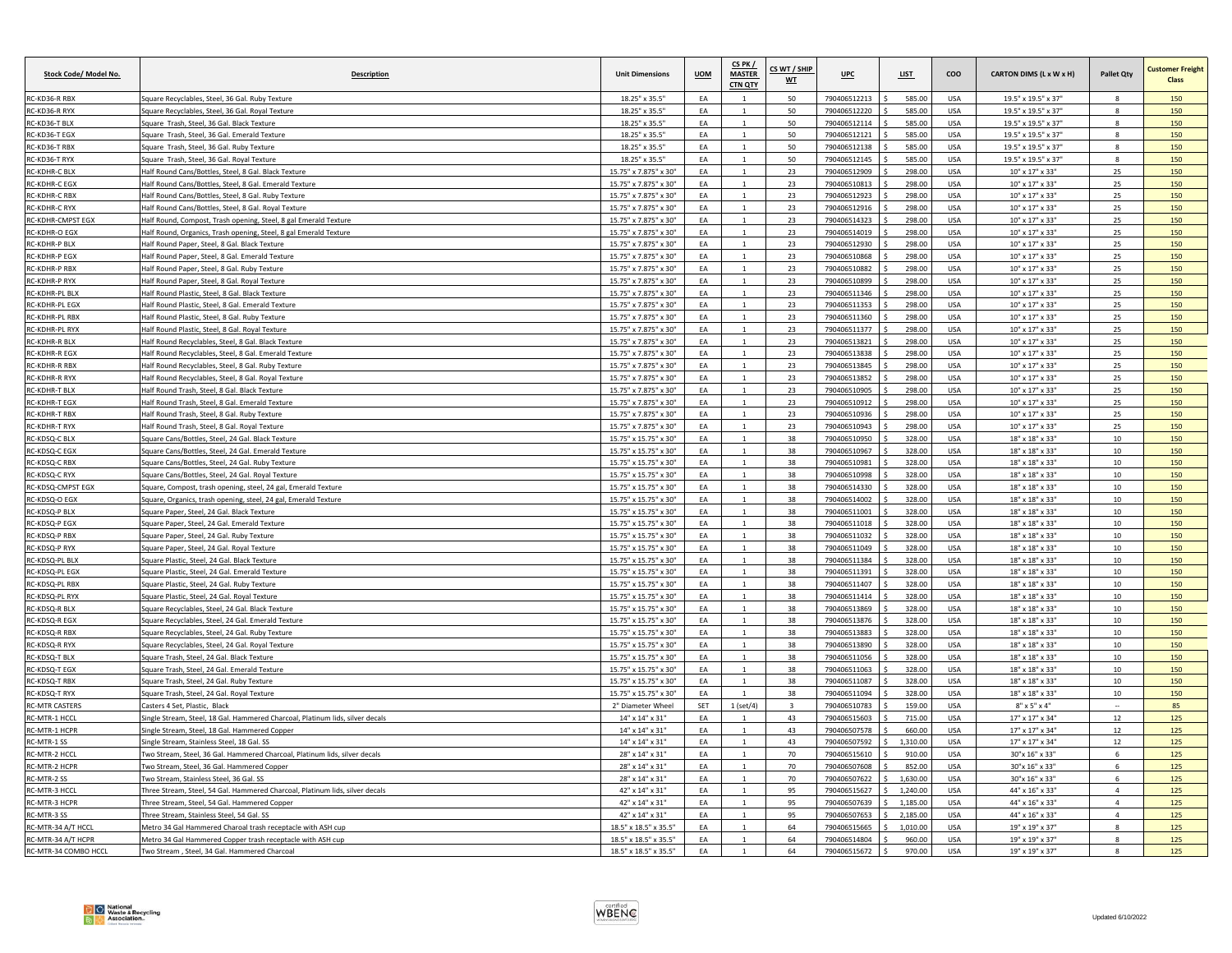| Stock Code/ Model No.                        | <b>Description</b>                                                                                           | <b>Unit Dimensions</b>                               | <b>UOM</b> | CS PK /<br><b>MASTER</b><br><b>CTN QTY</b> | CS WT / SHIP<br>WT      | UPC                          | <b>LIST</b>          | coo                      | CARTON DIMS (L x W x H)                        | <b>Pallet Qty</b>   | <b>Customer Freight</b><br><b>Class</b> |
|----------------------------------------------|--------------------------------------------------------------------------------------------------------------|------------------------------------------------------|------------|--------------------------------------------|-------------------------|------------------------------|----------------------|--------------------------|------------------------------------------------|---------------------|-----------------------------------------|
| RC-KD36-R RBX                                | Square Recyclables, Steel, 36 Gal, Ruby Texture                                                              | 18.25" x 35.5"                                       | EA         | 1                                          | 50                      | 790406512213                 | 585.00               | USA                      | 19.5" x 19.5" x 37"                            |                     | 150                                     |
| RC-KD36-R RYX                                | Square Recyclables, Steel, 36 Gal. Royal Texture                                                             | 18.25" x 35.5"                                       | EA         |                                            | 50                      | 790406512220                 | 585.00               | <b>USA</b>               | 19.5" x 19.5" x 37"                            | $\Omega$            | 150                                     |
| RC-KD36-T BLX                                | Square Trash, Steel, 36 Gal. Black Texture                                                                   | 18.25" x 35.5"                                       | EA         |                                            | 50                      | 790406512114                 | 585.00               | USA                      | 19.5" x 19.5" x 37"                            |                     | 150                                     |
| RC-KD36-T EGX                                | Square Trash, Steel, 36 Gal. Emerald Texture                                                                 | 18.25" x 35.5"                                       | EA         | $\overline{1}$                             | 50                      | 790406512121                 | 585.00               | USA                      | 19.5" x 19.5" x 37"                            | $\mathbf{g}$        | 150                                     |
| RC-KD36-T RBX                                | Square Trash, Steel, 36 Gal. Ruby Texture                                                                    | 18.25" x 35.5"                                       | EA         |                                            | 50                      | 790406512138                 | 585.00               | <b>USA</b>               | 19.5" x 19.5" x 37"                            | 8                   | 150                                     |
| RC-KD36-T RYX                                | Square Trash, Steel, 36 Gal. Royal Texture                                                                   | 18.25" x 35.5"                                       | EA         | $\mathbf{1}$                               | 50                      | 790406512145                 | 585.00               | USA                      | 19.5" x 19.5" x 37"                            | $\mathbf{R}$        | 150                                     |
| RC-KDHR-C BLX                                | Half Round Cans/Bottles, Steel, 8 Gal. Black Texture                                                         | 15.75" x 7.875" x 30"                                | EA         |                                            | 23                      | 790406512909                 | 298.00               | <b>USA</b>               | 10" x 17" x 33"                                | 25                  | 150                                     |
| RC-KDHR-C EGX                                | Half Round Cans/Bottles, Steel, 8 Gal. Emerald Texture                                                       | 15.75" x 7.875" x 30"                                | EA         | $\mathbf{1}$                               | 23                      | 790406510813                 | 298.00               | USA                      | $10" \times 17" \times 33"$                    | 25                  | 150                                     |
| <b>RC-KDHR-C RBX</b>                         | Half Round Cans/Bottles, Steel, 8 Gal, Ruby Texture                                                          | 15.75" x 7.875" x 30"                                | EA         |                                            | 23                      | 790406512923                 | 298.00               | <b>USA</b>               | $10" \times 17" \times 33"$                    | 25                  | 150                                     |
| RC-KDHR-C RYX                                | Half Round Cans/Bottles, Steel, 8 Gal. Royal Texture                                                         | 15.75" x 7.875" x 30"                                | EA         | $\overline{1}$                             | 23                      | 790406512916                 | 298.00               | <b>USA</b>               | 10" x 17" x 33"                                | 25                  | 150                                     |
| RC-KDHR-CMPST EGX                            | Half Round, Compost, Trash opening, Steel, 8 gal Emerald Texture                                             | 15.75" x 7.875" x 30"                                | EA         | $\mathbf{1}$                               | 23                      | 790406514323                 | 298.00               | USA                      | 10" x 17" x 33"                                | 25                  | 150                                     |
| RC-KDHR-O EGX                                | Half Round, Organics, Trash opening, Steel, 8 gal Emerald Texture                                            | 15.75" x 7.875" x 30"                                | EA         |                                            | 23                      | 790406514019                 | 298.00               | USA                      | $10" \times 17" \times 33"$                    | 25                  | 150                                     |
| <b>RC-KDHR-P BLX</b>                         | Half Round Paper, Steel, 8 Gal, Black Texture                                                                | 15.75" x 7.875" x 30"                                | EA         |                                            | 23                      | 790406512930                 | 298.00               | <b>USA</b>               | $10''$ x $17''$ x $33''$                       | 25                  | 150                                     |
| <b>RC-KDHR-P EGX</b>                         | Half Round Paper, Steel, 8 Gal. Emerald Texture                                                              | 15.75" x 7.875" x 30'                                | EA         |                                            | 23                      | 790406510868                 | 298.00               | <b>USA</b>               | 10" x 17" x 33'                                | 25                  | 150                                     |
| <b>RC-KDHR-P RBX</b>                         | Half Round Paper, Steel, 8 Gal. Ruby Texture                                                                 | 15.75" x 7.875" x 30"                                | EA         | $\overline{1}$                             | 23                      | 790406510882                 | 298.00               | <b>USA</b>               | 10" x 17" x 33"                                | 25                  | 150                                     |
| RC-KDHR-P RYX                                | Half Round Paper, Steel, 8 Gal. Royal Texture                                                                | 15.75" x 7.875" x 30"                                | EA         | 1                                          | 23<br>23                | 790406510899                 | 298.00<br>298.00     | USA                      | 10" x 17" x 33"                                | 25                  | 150<br>150                              |
| <b>RC-KDHR-PL BLX</b>                        | Half Round Plastic, Steel, 8 Gal. Black Texture                                                              | 15.75" x 7.875" x 30"                                | EA         |                                            |                         | 790406511346                 |                      | <b>USA</b>               | 10" x 17" x 33"                                | 25                  |                                         |
| RC-KDHR-PL EGX                               | Half Round Plastic, Steel, 8 Gal. Emerald Texture                                                            | 15.75" x 7.875" x 30"                                | EA         |                                            | 23                      | 790406511353                 | 298.00               | USA                      | $10" \times 17" \times 33"$                    | 25                  | 150                                     |
| RC-KDHR-PL RBX<br>RC-KDHR-PL RYX             | Half Round Plastic, Steel, 8 Gal. Ruby Texture                                                               | 15.75" x 7.875" x 30"<br>15.75" x 7.875" x 30"       | EA<br>EA   | $\mathbf{1}$                               | 23                      | 790406511360                 | 298.00               | <b>USA</b>               | 10" x 17" x 33"                                | 25                  | 150                                     |
|                                              | Half Round Plastic, Steel, 8 Gal. Royal Texture                                                              |                                                      | EA         | $\overline{1}$                             | 23<br>23                | 790406511377                 | 298.00               | USA<br><b>USA</b>        | 10" x 17" x 33"                                | 25<br>25            | 150<br>150                              |
| RC-KDHR-R BLX<br><b>RC-KDHR-R EGX</b>        | Half Round Recyclables, Steel, 8 Gal, Black Texture<br>lalf Round Recyclables, Steel, 8 Gal. Emerald Texture | 15.75" x 7.875" x 30"<br>15.75" x 7.875" x 30"       | EA         | $\mathbf{1}$                               | 23                      | 790406513821<br>790406513838 | 298.00<br>298.00     | USA                      | 10" x 17" x 33"<br>10" x 17" x 33"             | 25                  | 150                                     |
|                                              |                                                                                                              |                                                      |            | 1                                          |                         |                              |                      |                          |                                                |                     |                                         |
| <b>RC-KDHR-R RBX</b><br><b>RC-KDHR-R RYX</b> | Half Round Recyclables, Steel, 8 Gal. Ruby Texture<br>Half Round Recyclables, Steel, 8 Gal, Royal Texture    | 15.75" x 7.875" x 30"<br>15.75" x 7.875" x 30"       | EA<br>FA   |                                            | 23<br>23                | 790406513845                 | 298.00<br>298.00     | USA<br><b>USA</b>        | $10" \times 17" \times 33"$<br>10" x 17" x 33" | 25<br>25            | 150<br>150                              |
| RC-KDHR-T BLX                                | Half Round Trash, Steel, 8 Gal. Black Texture                                                                | 15.75" x 7.875" x 30"                                | EA         | $\overline{1}$                             | 23                      | 790406513852<br>790406510905 | 298.00               | <b>USA</b>               | 10" x 17" x 33"                                | 25                  | 150                                     |
| <b>RC-KDHR-T EGX</b>                         | Half Round Trash, Steel, 8 Gal, Emerald Texture                                                              | 15.75" x 7.875" x 30"                                | EA         | $\mathbf{1}$                               | 23                      | 790406510912                 | 298.00               | <b>USA</b>               | 10" x 17" x 33"                                | 25                  | 150                                     |
| <b>RC-KDHR-T RBX</b>                         | Half Round Trash, Steel, 8 Gal. Ruby Texture                                                                 | 15.75" x 7.875" x 30"                                | EA         | $\mathbf{1}$                               | 23                      | 790406510936                 | 298.00               | <b>USA</b>               | 10" x 17" x 33"                                | 25                  | 150                                     |
| <b>RC-KDHR-T RYX</b>                         | Half Round Trash, Steel, 8 Gal, Royal Texture                                                                | 15.75" x 7.875" x 30"                                | EA         |                                            | 23                      | 790406510943                 | 298.00               | <b>USA</b>               | $10''$ x $17''$ x $33'$                        | 25                  | 150                                     |
| RC-KDSQ-C BLX                                | quare Cans/Bottles, Steel, 24 Gal. Black Texture                                                             | 15.75" x 15.75" x 30'                                | EA         |                                            | 38                      | 790406510950                 | 328.0                | <b>USA</b>               | 18" x 18" x 33'                                | 10                  | 150                                     |
| RC-KDSQ-C EGX                                | Square Cans/Bottles, Steel, 24 Gal, Emerald Texture                                                          | 15.75" x 15.75" x 30"                                | FA         | $\overline{1}$                             | 38                      | 790406510967                 | 328.00               | <b>USA</b>               | 18" x 18" x 33"                                | 10                  | 150                                     |
| RC-KDSQ-C RBX                                | Square Cans/Bottles, Steel, 24 Gal. Ruby Texture                                                             | 15.75" x 15.75" x 30"                                | EA         | 1                                          | 38                      | 790406510981                 | 328.00               | USA                      | 18" x 18" x 33"                                | 10                  | 150                                     |
| RC-KDSQ-C RYX                                | Square Cans/Bottles, Steel, 24 Gal. Royal Texture                                                            | 15.75" x 15.75" x 30"                                | EA         | $\overline{1}$                             | 38                      | 790406510998                 | 328.00               | <b>USA</b>               | 18" x 18" x 33"                                | $10\,$              | 150                                     |
| RC-KDSQ-CMPST EGX                            | Square, Compost, trash opening, steel, 24 gal, Emerald Texture                                               | 15.75" x 15.75" x 30"                                | EA         |                                            | 38                      | 790406514330                 | 328.00               | <b>USA</b>               | 18" x 18" x 33"                                | 10                  | 150                                     |
| RC-KDSQ-O EGX                                | Square, Organics, trash opening, steel, 24 gal, Emerald Texture                                              | 15.75" x 15.75" x 30"                                | EA         |                                            | 38                      | 790406514002                 | 328.00               | <b>USA</b>               | 18" x 18" x 33"                                | 10                  | 150                                     |
| RC-KDSQ-P BLX                                | Square Paper, Steel, 24 Gal. Black Texture                                                                   | 15.75" x 15.75" x 30"                                | FA         | $\overline{1}$                             | 38                      | 790406511001                 | 328.00               | <b>USA</b>               | 18" x 18" x 33"                                | 10                  | 150                                     |
| RC-KDSQ-P EGX                                | Square Paper, Steel, 24 Gal. Emerald Texture                                                                 | 15.75" x 15.75" x 30"                                | EA         | $\overline{1}$                             | 38                      | 790406511018                 | 328.00               | <b>USA</b>               | 18" x 18" x 33"                                | $10\,$              | 150                                     |
| RC-KDSQ-P RBX                                | Square Paper, Steel, 24 Gal, Ruby Texture                                                                    | 15.75" x 15.75" x 30"                                | EA         | 1                                          | 38                      | 790406511032                 | 328.00               | USA                      | 18" x 18" x 33"                                | $10\,$              | 150                                     |
| RC-KDSQ-P RYX                                | Square Paper, Steel, 24 Gal. Royal Texture                                                                   | 15.75" x 15.75" x 30"                                | EA         |                                            | 38                      | 790406511049                 | 328.00               | USA                      | 18" x 18" x 33"                                | $10\,$              | 150                                     |
| RC-KDSQ-PL BLX                               | Square Plastic, Steel, 24 Gal, Black Texture                                                                 | 15.75" x 15.75" x 30"                                | EA         | $\mathbf{1}$                               | 38                      | 790406511384                 | 328.00               | <b>USA</b>               | 18" x 18" x 33"                                | 10                  | 150                                     |
| RC-KDSQ-PL EGX                               | Square Plastic, Steel, 24 Gal. Emerald Texture                                                               | 15.75" x 15.75" x 30"                                | EA         | $\overline{1}$                             | 38                      | 790406511391                 | 328.00               | USA                      | 18" x 18" x 33"                                | $10\,$              | 150                                     |
| RC-KDSQ-PL RBX                               | Square Plastic, Steel, 24 Gal, Ruby Texture                                                                  | 15.75" x 15.75" x 30"                                | EA         | $\mathbf{1}$                               | 38                      | 790406511407                 | 328.00               | USA                      | 18" x 18" x 33"                                | 10                  | 150                                     |
| RC-KDSQ-PL RYX                               | Square Plastic, Steel, 24 Gal. Royal Texture                                                                 | 15.75" x 15.75" x 30"                                | EA         | $\mathbf{1}$                               | 38                      | 790406511414                 | 328.00               | <b>USA</b>               | 18" x 18" x 33"                                | 10                  | 150                                     |
| RC-KDSQ-R BLX                                | Square Recyclables, Steel, 24 Gal, Black Texture                                                             | 15.75" x 15.75" x 30"                                | <b>FA</b>  |                                            | 38                      | 790406513869                 | 328.00               | <b>USA</b>               | 18" x 18" x 33"                                | 10                  | 150                                     |
| RC-KDSQ-R EGX                                | quare Recyclables, Steel, 24 Gal. Emerald Texture                                                            | 15.75" x 15.75" x 30"                                | FA         |                                            | 38                      | 790406513876                 | 328.00               | LISA                     | 18" x 18" x 33"                                | 10                  | 150                                     |
| RC-KDSQ-R RBX                                | Square Recyclables, Steel, 24 Gal, Ruby Texture                                                              | 15.75" x 15.75" x 30"                                | FA         | $\overline{1}$                             | 38                      | 790406513883                 | 328.00               | <b>USA</b>               | 18" x 18" x 33"                                | $10\,$              | 150                                     |
| RC-KDSQ-R RYX                                | Square Recyclables, Steel, 24 Gal. Royal Texture                                                             | 15.75" x 15.75" x 30"                                | EA         | $\mathbf{1}$                               | 38                      | 790406513890                 | 328.00               | <b>USA</b>               | 18" x 18" x 33"                                | 10                  | 150                                     |
| RC-KDSQ-T BLX                                | Square Trash, Steel, 24 Gal. Black Texture                                                                   | 15.75" x 15.75" x 30"                                | EA         | $\mathbf{1}$                               | 38                      | 790406511056                 | 328.00               | <b>USA</b>               | 18" x 18" x 33"                                | $10\,$              | 150                                     |
| RC-KDSQ-T EGX                                | Square Trash, Steel, 24 Gal. Emerald Texture                                                                 | 15.75" x 15.75" x 30"                                | EA         |                                            | 38                      | 790406511063                 | 328.00               | <b>USA</b>               | 18" x 18" x 33"                                | 10                  | 150                                     |
| RC-KDSQ-T RBX                                | Square Trash, Steel, 24 Gal. Ruby Texture                                                                    | 15.75" x 15.75" x 30"                                | EA         | $\overline{1}$                             | 38                      | 790406511087                 | 328.00               | <b>USA</b>               | 18" x 18" x 33"                                | $10\,$              | 150                                     |
| RC-KDSQ-T RYX                                | Square Trash, Steel, 24 Gal, Royal Texture                                                                   | 15.75" x 15.75" x 30"                                | EA         |                                            | 38                      | 790406511094                 | 328.00               | USA                      | 18" x 18" x 33"                                | 10                  | 150                                     |
| <b>RC-MTR CASTERS</b>                        | Casters 4 Set, Plastic, Black                                                                                | 2" Diameter Whee                                     | SET        | $1$ (set/4)                                | $\overline{\mathbf{3}}$ | 790406510783                 | 159.00               | USA                      | $8" \times 5" \times 4"$                       |                     | 85                                      |
| RC-MTR-1 HCCL                                | Single Stream, Steel, 18 Gal. Hammered Charcoal, Platinum lids, silver decals                                | 14" x 14" x 31"                                      | EA         | 1                                          | 43                      | 790406515603                 | 715.00               | USA                      | 17" x 17" x 34"                                | 12                  | 125                                     |
| RC-MTR-1 HCPR                                | Single Stream, Steel, 18 Gal. Hammered Copper                                                                | $14" \times 14" \times 31"$                          | EA         | $\mathbf{1}$                               | 43                      | 790406507578                 | 660.00               | <b>USA</b>               | $17" \times 17" \times 34"$                    | 12                  | 125                                     |
| RC-MTR-1SS                                   | Single Stream, Stainless Steel, 18 Gal, SS                                                                   | 14" x 14" x 31"                                      | EA         | $\overline{1}$                             | 43                      | 790406507592                 | 1.310.00             | <b>USA</b>               | $17" \times 17" \times 34"$                    | 12                  | 125                                     |
| RC-MTR-2 HCCL                                | Two Stream, Steel, 36 Gal. Hammered Charcoal, Platinum lids, silver decals                                   | 28" x 14" x 31'                                      | EA         |                                            | 70                      | 790406515610                 | 910.00               | <b>USA</b>               | 30"x 16" x 33"                                 |                     | 125                                     |
| <b>RC-MTR-2 HCPR</b>                         | Two Stream, Steel, 36 Gal. Hammered Copper                                                                   | 28" x 14" x 31"                                      | EA         | $\mathbf{1}$                               | 70                      | 790406507608                 | 852.00               | USA                      | 30"x 16" x 33"                                 | $6 \overline{6}$    | 125                                     |
| RC-MTR-2 SS                                  | Two Stream, Stainless Steel, 36 Gal, SS                                                                      | 28" x 14" x 31"                                      | EA         | $\mathbf{1}$                               | 70                      | 790406507622                 | 1,630.00             | <b>USA</b>               | 30"x 16" x 33"                                 | 6<br>$\lambda$      | 125                                     |
| RC-MTR-3 HCCL                                | Three Stream, Steel, 54 Gal. Hammered Charcoal, Platinum lids, silver decals                                 | 42" x 14" x 31"                                      | EA         |                                            | 95                      | 790406515627                 | 1.240.00             | <b>USA</b>               | 44" x 16" x 33"                                |                     | 125                                     |
| RC-MTR-3 HCPR                                | Three Stream, Steel, 54 Gal. Hammered Copper                                                                 | 42" x 14" x 31"                                      | FA         |                                            | 95                      | 790406507639                 | 1,185.00             | USA                      | 44" x 16" x 33"                                | $\overline{a}$      | 125                                     |
| RC-MTR-3 SS<br>RC-MTR-34 A/T HCCL            | Three Stream, Stainless Steel, 54 Gal. SS<br>Metro 34 Gal Hammered Charoal trash receptacle with ASH cup     | 42" x 14" x 31"<br>$18.5" \times 18.5" \times 35.5"$ | FA<br>EA   | $\mathbf{1}$                               | 95<br>64                | 790406507653<br>790406515665 | 2,185.00<br>1,010.00 | <b>USA</b><br><b>USA</b> | 44" x 16" x 33"<br>19" x 19" x 37"             | $\overline{a}$<br>8 | 125<br>125                              |
| RC-MTR-34 A/T HCPR                           | Metro 34 Gal Hammered Copper trash receptacle with ASH cup                                                   | 18.5" x 18.5" x 35.5"                                | EA         | $\overline{1}$                             | 64                      | 790406514804                 | 960.00               | <b>USA</b>               | 19" x 19" x 37"                                | $\mathbf{g}$        | 125                                     |
| RC-MTR-34 COMBO HCCL                         | Two Stream, Steel, 34 Gal. Hammered Charcoal                                                                 | 18.5" x 18.5" x 35.5"                                | EA         |                                            | 64                      | 790406515672                 | 970.00               | USA                      | 19" x 19" x 37"                                |                     | 125                                     |
|                                              |                                                                                                              |                                                      |            |                                            |                         |                              |                      |                          |                                                |                     |                                         |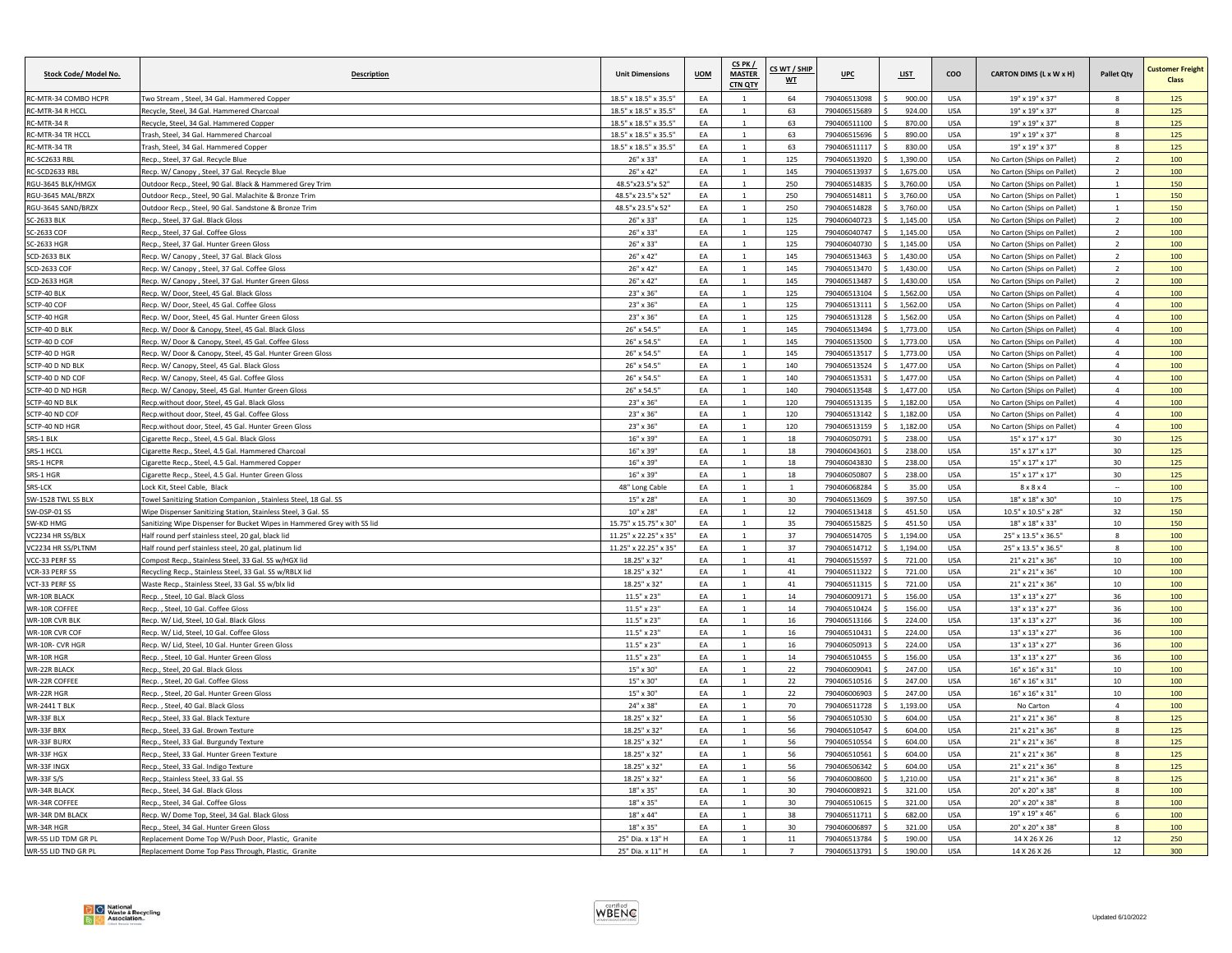| Stock Code/ Model No.              | <b>Description</b>                                                                                                               | <b>Unit Dimensions</b>        | <b>UOM</b> | CS PK/<br><b>MASTER</b><br>CTN QTY | CS WT / SHIP<br>WT | UPC                          | <b>LIST</b>     | coo                      | CARTON DIMS (L x W x H)                              | <b>Pallet Qty</b>          | <b>Customer Freight</b><br>Class |
|------------------------------------|----------------------------------------------------------------------------------------------------------------------------------|-------------------------------|------------|------------------------------------|--------------------|------------------------------|-----------------|--------------------------|------------------------------------------------------|----------------------------|----------------------------------|
| RC-MTR-34 COMBO HCPR               | Two Stream, Steel, 34 Gal. Hammered Copper                                                                                       | 18.5" x 18.5" x 35.5"         | EA         | 1                                  | 64                 | 790406513098                 | 900.00          | <b>USA</b>               | 19" x 19" x 37"                                      | 8                          | 125                              |
| RC-MTR-34 R HCCL                   | Recycle, Steel, 34 Gal, Hammered Charcoal                                                                                        | 18.5" x 18.5" x 35.5"         | EA         | $\overline{1}$                     | 63                 | 790406515689                 | 924.00          | USA                      | 19" x 19" x 37"                                      | $\Omega$                   | 125                              |
| RC-MTR-34 R                        | Recycle, Steel, 34 Gal. Hammered Copper                                                                                          | 18.5" x 18.5" x 35.5"         | EA         |                                    | 63                 | 790406511100                 | 870.00          | USA                      | 19" x 19" x 37"                                      | $\mathbf{g}$               | 125                              |
| RC-MTR-34 TR HCCL                  | Trash, Steel, 34 Gal, Hammered Charcoal                                                                                          | 18.5" x 18.5" x 35.5"         | EA         | $\overline{1}$                     | 63                 | 790406515696                 | 890.00          | <b>USA</b>               | 19" x 19" x 37"                                      | 8                          | 125                              |
| RC-MTR-34 TR                       | Trash, Steel, 34 Gal. Hammered Copper                                                                                            | 18.5" x 18.5" x 35.5"         | EA         | $\mathbf{1}$                       | 63                 | 790406511117                 | 830.00          | <b>USA</b>               | 19" x 19" x 37"                                      | 8                          | 125                              |
| RC-SC2633 RBL                      | Recp., Steel, 37 Gal, Recycle Blue                                                                                               | 26" x 33'                     | EA         | $\overline{1}$                     | 125                | 790406513920                 | 1,390.00        | <b>USA</b>               | No Carton (Ships on Pallet)                          | $\overline{2}$             | 100                              |
| RC-SCD2633 RBI                     | Recp. W/ Canopy, Steel, 37 Gal. Recycle Blue                                                                                     | 26" x 42"                     | EA         |                                    | 145                | 790406513937                 | 1,675.00        | <b>USA</b>               | No Carton (Ships on Pallet)                          | $\mathcal{P}$              | 100                              |
| RGU-3645 BLK/HMGX                  | Outdoor Recp., Steel, 90 Gal. Black & Hammered Grey Trim                                                                         | 48.5"x23.5"x 52"              | EA         | $\mathbf{1}$                       | 250                | 790406514835                 | 3,760.00        | USA                      | No Carton (Ships on Pallet)                          | $1\,$                      | 150                              |
| RGU-3645 MAL/BRZX                  | Outdoor Reco., Steel, 90 Gal. Malachite & Bronze Trim                                                                            | 48.5"x 23.5"x 52"             | EA         | $\overline{1}$                     | 250                | 790406514811                 | 3,760.00        | <b>USA</b>               | No Carton (Shins on Pallet)                          | $\mathbf{1}$               | 150                              |
| RGU-3645 SAND/BRZX                 | Outdoor Recp., Steel, 90 Gal. Sandstone & Bronze Trim                                                                            | 48.5"x 23.5"x 52"             | EA         | $\overline{1}$                     | 250                | 790406514828                 | 3,760.00        | <b>USA</b>               | No Carton (Ships on Pallet)                          | $\mathbf{1}$               | 150                              |
| <b>SC-2633 BLK</b>                 | Recp., Steel, 37 Gal, Black Gloss                                                                                                | 26" x 33"                     | EA         | $\mathbf{1}$                       | 125                | 790406040723                 | 1,145.00        | USA                      | No Carton (Ships on Pallet)                          | $\overline{2}$             | 100                              |
| SC-2633 COF                        | Recp., Steel, 37 Gal. Coffee Gloss                                                                                               | 26" x 33"                     | EA         |                                    | 125                | 790406040747                 | 1,145.00        | USA                      | No Carton (Ships on Pallet)                          | $\overline{2}$             | 100                              |
| SC-2633 HGR                        | Reco., Steel, 37 Gal. Hunter Green Gloss                                                                                         | 26" x 33"                     | EA         | $\mathbf{1}$                       | 125                | 790406040730                 | 1.145.00        | <b>USA</b>               | No Carton (Shins on Pallet)                          | $\overline{2}$             | 100                              |
| <b>SCD-2633 BLK</b>                | Recp. W/ Canopy, Steel, 37 Gal. Black Gloss                                                                                      | 26" x 42'                     | EA         |                                    | 145                | 790406513463                 | 1.430.0         | <b>USA</b>               | No Carton (Ships on Pallet)                          |                            | 100                              |
| SCD-2633 COF                       | Recp. W/ Canopy , Steel, 37 Gal. Coffee Gloss                                                                                    | $26" \times 42"$              | EA         | $\overline{1}$                     | 145                | 790406513470                 | 1,430.00        | USA                      | No Carton (Ships on Pallet)                          | $\mathcal{L}$              | 100                              |
| <b>SCD-2633 HGR</b>                | Recp. W/ Canopy , Steel, 37 Gal. Hunter Green Gloss                                                                              | 26" x 42"                     | EA         | 1                                  | 145                | 790406513487                 | 1,430.00        | <b>USA</b>               | No Carton (Ships on Pallet)                          | $\overline{2}$             | 100                              |
| SCTP-40 BLK                        | Recp. W/ Door, Steel, 45 Gal, Black Glos                                                                                         | $23"$ x $36'$                 | EA         | $\overline{1}$                     | 125                | 790406513104                 | 1,562.00        | <b>IISA</b>              | No Carton (Ships on Pallet)                          | $\overline{4}$             | 100                              |
| SCTP-40 COF                        | Recp. W/ Door, Steel, 45 Gal. Coffee Gloss                                                                                       | 23" x 36"                     | EA         |                                    | 125                | 790406513111                 | 1,562.00        | USA                      | No Carton (Ships on Pallet)                          | $\overline{a}$             | 100                              |
| SCTP-40 HGR                        | Recp. W/ Door, Steel, 45 Gal. Hunter Green Gloss                                                                                 | 23" x 36"                     | EA         |                                    | 125                | 790406513128                 | 1,562.00        | <b>USA</b>               | No Carton (Ships on Pallet)                          | $\overline{a}$             | 100                              |
| SCTP-40 D BLK                      | Recp. W/ Door & Canopy, Steel, 45 Gal. Black Gloss                                                                               | 26" x 54.5"                   | EA         | $\mathbf{1}$                       | 145                | 790406513494                 | 1,773.00        | USA                      | No Carton (Ships on Pallet)                          | $\overline{4}$             | 100                              |
| SCTP-40 D COF                      | Recp. W/ Door & Canopy, Steel, 45 Gal. Coffee Gloss                                                                              | 26" x 54.5"                   | EA         | $\overline{1}$                     | 145                | 790406513500                 | 1,773.00        | <b>USA</b>               | No Carton (Ships on Pallet)                          | $\Delta$                   | 100                              |
| SCTP-40 D HGR                      | Recp. W/ Door & Canopy, Steel, 45 Gal. Hunter Green Gloss                                                                        | 26" x 54.5"                   | EA         | $\mathbf{1}$                       | 145                | 790406513517                 | 1,773.00        | USA                      | No Carton (Ships on Pallet)                          | $\overline{4}$             | 100                              |
| SCTP-40 D ND BLK                   | Recp. W/ Canopy, Steel, 45 Gal. Black Gloss                                                                                      | 26" x 54.5"                   | EA         | $\mathbf{1}$                       | 140                | 790406513524                 | 1,477.00        | USA                      | No Carton (Ships on Pallet)                          | $\overline{4}$             | 100                              |
| SCTP-40 D ND COF                   | Recp. W/ Canopy, Steel, 45 Gal. Coffee Glos                                                                                      | 26" x 54.5"                   | EA         |                                    | 140                | 790406513531                 | 1,477.00        | <b>USA</b>               | No Carton (Ships on Pallet)                          | $\overline{4}$             | 100                              |
| SCTP-40 D ND HGR                   | Recp. W/ Canopy, Steel, 45 Gal. Hunter Green Gloss                                                                               | 26" x 54.5"                   | EA         | $\overline{1}$                     | 140                | 790406513548                 | 1,477.00        | <b>USA</b>               | No Carton (Ships on Pallet)                          | $\overline{4}$             | 100                              |
| SCTP-40 ND BLK                     | Reco.without door, Steel, 45 Gal, Black Gloss                                                                                    | 23" x 36"                     | EA         | $\mathbf{1}$                       | 120                | 790406513135                 | 1,182.00        | USA                      | No Carton (Ships on Pallet)                          | $\overline{4}$             | 100                              |
| SCTP-40 ND COF                     | Recp.without door, Steel, 45 Gal. Coffee Gloss                                                                                   | 23" x 36"                     | EA         | $\mathbf{1}$                       | 120                | 790406513142                 | 1,182.00        | <b>USA</b>               | No Carton (Ships on Pallet)                          | $\overline{4}$<br>$\Delta$ | 100                              |
| SCTP-40 ND HGR                     | Recp.without door, Steel, 45 Gal. Hunter Green Gloss                                                                             | $23" \times 36'$              | EA         |                                    | 120                | 790406513159                 | 1.182.00        | <b>USA</b>               | No Carton (Ships on Pallet)                          |                            | 100                              |
| SRS-1 BLK                          | Cigarette Recp., Steel, 4.5 Gal. Black Gloss                                                                                     | 16" x 39'                     | EA<br>EA   |                                    | 18                 | 790406050791                 | 238.0<br>238.00 | <b>USA</b><br><b>USA</b> | $15" \times 17" \times 17'$<br>$15"$ x $17"$ x $17'$ | 30<br>30                   | 125                              |
| SRS-1 HCCL<br>SRS-1 HCPR           | Cigarette Recp., Steel, 4.5 Gal. Hammered Charcoal                                                                               | 16" x 39"<br>16" x 39"        | EA         | $\overline{1}$                     | 18                 | 790406043601                 | 238.00          | USA                      | $15" \times 17" \times 17"$                          | 30                         | 125                              |
|                                    | Cigarette Recp., Steel, 4.5 Gal. Hammered Copper                                                                                 | 16" x 39"                     | EA         | 1<br>$\overline{1}$                | 18<br>18           | 790406043830<br>790406050807 |                 | <b>USA</b>               |                                                      | 30                         | 125                              |
| SRS-1 HGR                          | Cigarette Recp., Steel, 4.5 Gal. Hunter Green Gloss                                                                              |                               | EA         |                                    |                    |                              | 238.00          |                          | $15" \times 17" \times 17"$                          |                            | 125                              |
| SRS-LCK                            | Lock Kit, Steel Cable, Black                                                                                                     | 48" Long Cable                | EA         | $\overline{1}$                     |                    | 790406068284                 | 35.00<br>397.50 | <b>USA</b>               | $8 \times 8 \times 4$                                |                            | 100                              |
| SW-1528 TWL SS BLX<br>SW-DSP-01 SS | Towel Sanitizing Station Companion, Stainless Steel, 18 Gal. SS<br>Wipe Dispenser Sanitizing Station, Stainless Steel, 3 Gal. SS | 15" x 28"<br>$10" \times 28"$ | EA         | $\overline{1}$                     | 30<br>12           | 790406513609<br>790406513418 | 451.50          | USA<br><b>USA</b>        | 18" x 18" x 30"<br>10.5" x 10.5" x 28"               | 10<br>32                   | 175<br>150                       |
| SW-KD HMG                          | ianitizing Wipe Dispenser for Bucket Wipes in Hammered Grey with SS lid                                                          | 15.75" x 15.75" x 30"         | EA         | $\overline{1}$                     | 35                 | 790406515825                 | 451.50          | <b>USA</b>               | 18" x 18" x 33"                                      | 10                         | 150                              |
| VC2234 HR SS/BLX                   | Half round perf stainless steel, 20 gal, black lid                                                                               | 11.25" x 22.25" x 35"         | EA         | <sup>1</sup>                       | 37                 | 790406514705                 | 1,194.00        | USA                      | 25" x 13.5" x 36.5"                                  | $8\phantom{1}$             | 100                              |
| VC2234 HR SS/PLTNM                 | Half round perf stainless steel, 20 gal, platinum lid                                                                            | 11.25" x 22.25" x 35"         | EA         | $\mathbf{1}$                       | 37                 | 790406514712                 | 1,194.00        | USA                      | 25" x 13.5" x 36.5"                                  | 8                          | 100                              |
| VCC-33 PERF SS                     | Compost Recp., Stainless Steel, 33 Gal, SS w/HGX lid                                                                             | 18.25" x 32"                  | EA         | $\overline{1}$                     | 41                 | 790406515597                 | 721.00          | <b>USA</b>               | 21" x 21" x 36"                                      | 10                         | 100                              |
| VCR-33 PERF SS                     | Recycling Recp., Stainless Steel, 33 Gal. SS w/RBLX lic                                                                          | 18.25" x 32"                  | EA         | $\overline{1}$                     | 41                 | 790406511322                 | 721.00          | <b>USA</b>               | 21" x 21" x 36"                                      | 10                         | 100                              |
| VCT-33 PERF SS                     | Waste Recp., Stainless Steel, 33 Gal. SS w/blx lid                                                                               | 18.25" x 32"                  | EA         | $\overline{1}$                     | 41                 | 790406511315                 | 721.00          | USA                      | 21" x 21" x 36"                                      | 10                         | 100                              |
| <b>WR-10R BLACK</b>                | Recp., Steel, 10 Gal. Black Gloss                                                                                                | 11.5" x 23"                   | EA         | 1                                  | 14                 | 790406009171                 | 156.00          | <b>USA</b>               | 13" x 13" x 27"                                      | 36                         | 100                              |
| WR-10R COFFEE                      | Recp. . Steel, 10 Gal, Coffee Glos                                                                                               | $11.5" \times 23'$            | EA         | $\overline{1}$                     | 14                 | 790406510424                 | 156.00          | USA                      | $13" \times 13" \times 27'$                          | 36                         | 100                              |
| WR-10R CVR BLK                     | Recp. W/ Lid, Steel, 10 Gal. Black Gloss                                                                                         | $11.5" \times 23"$            | EA         |                                    | 16                 | 790406513166                 | 224.00          | <b>USA</b>               | 13" x 13" x 27"                                      | 36                         | 100                              |
| WR-10R CVR COF                     | Recp. W/ Lid. Steel. 10 Gal. Coffee Gloss                                                                                        | 11.5" x 23"                   | EA         | $\mathbf{1}$                       | 16                 | 790406510431                 | 224.00          | <b>USA</b>               | 13" x 13" x 27"                                      | 36                         | 100                              |
| WR-10R- CVR HGR                    | Recp. W/ Lid, Steel, 10 Gal. Hunter Green Gloss                                                                                  | 11.5" x 23"                   | EA         | $\mathbf{1}$                       | 16                 | 790406050913                 | 224.00          | <b>USA</b>               | $13" \times 13" \times 27"$                          | 36                         | 100                              |
| WR-10R HGR                         | Recp., Steel, 10 Gal. Hunter Green Gloss                                                                                         | $11.5" \times 23"$            | EA         | $\mathbf 1$                        | 14                 | 790406510455                 | 156.00          | <b>USA</b>               | 13" x 13" x 27"                                      | 36                         | 100                              |
| WR-22R BLACK                       | Recp., Steel, 20 Gal, Black Gloss                                                                                                | 15" x 30"                     | EA         |                                    | 22                 | 790406009041                 | 247.00          | <b>USA</b>               | $16" \times 16" \times 31"$                          | 10                         | 100                              |
| WR-22R COFFEE                      | Recp., Steel, 20 Gal. Coffee Gloss                                                                                               | 15" x 30"                     | EA         | $\overline{1}$                     | 22                 | 790406510516                 | 247.00          | USA                      | $16"$ x $16"$ x $31"$                                | 10                         | 100                              |
| WR-22R HGR                         | Recp. . Steel, 20 Gal. Hunter Green Gloss                                                                                        | 15" x 30"                     | EA         |                                    | 22                 | 790406006903                 | 247.00          | USA                      | 16" x 16" x 31"                                      | 10                         | 100                              |
| <b>WR-2441 T BLK</b>               | Recp., Steel, 40 Gal. Black Gloss                                                                                                | 24" x 38"                     | EA         | $\overline{1}$                     | 70                 | 790406511728                 | 1,193.00        | <b>USA</b>               | No Carton                                            | $\overline{4}$             | 100                              |
| WR-33F BLX                         | Recp., Steel, 33 Gal, Black Texture                                                                                              | 18.25" x 32"                  | EA         | 1                                  | 56                 | 790406510530                 | 604.00          | <b>USA</b>               | 21" x 21" x 36"                                      | $8\phantom{1}$             | 125                              |
| WR-33F BRX                         | Recp., Steel, 33 Gal. Brown Texture                                                                                              | 18.25" x 32"                  | EA         | $\mathbf{1}$                       | 56                 | 790406510547                 | 604.00          | USA                      | 21" x 21" x 36"                                      | 8                          | 125                              |
| WR-33F BURX                        | Recp., Steel, 33 Gal. Burgundy Texture                                                                                           | 18.25" x 32"                  | EA         | $\overline{1}$                     | 56                 | 790406510554                 | 604.00          | <b>USA</b>               | 21" x 21" x 36"                                      | $\mathbf{R}$               | 125                              |
| WR-33F HGX                         | Recp., Steel, 33 Gal. Hunter Green Texture                                                                                       | 18.25" x 32"                  | EA         |                                    | 56                 | 790406510561                 | 604.00          | <b>USA</b>               | 21" x 21" x 36'                                      | 8                          | 125                              |
| WR-33F INGX                        | Recp., Steel, 33 Gal. Indigo Texture                                                                                             | 18.25" x 32"                  | EA         | $\overline{1}$                     | 56                 | 790406506342                 | 604.00          | <b>USA</b>               | 21" x 21" x 36"                                      | $\mathbf{g}$               | 125                              |
| <b>WR-33F S/S</b>                  | Recp., Stainless Steel, 33 Gal. SS                                                                                               | 18.25" x 32"                  | EA         | 1                                  | 56                 | 790406008600                 | 1,210.00        | <b>USA</b>               | 21" x 21" x 36"                                      | 8                          | 125                              |
| WR-34R BLACK                       | Recp., Steel, 34 Gal. Black Gloss                                                                                                | $18" \times 35'$              | EA         |                                    | 30                 | 790406008921                 | 321.00          | USA                      | $20'' \times 20'' \times 38'$                        | $\Omega$                   | 100                              |
| WR-34R COFFEE                      | Recp., Steel, 34 Gal. Coffee Gloss                                                                                               | 18" x 35"                     | FA         |                                    | 30                 | 790406510615                 | 321.00          | USA                      | 20" x 20" x 38"                                      | $\mathbf{g}$               | 100                              |
| WR-34R DM BLACK                    | Recp. W/ Dome Top, Steel, 34 Gal. Black Gloss                                                                                    | 18" x 44"                     | FA         |                                    | 38                 | 790406511711                 | 682.00          | USA                      | 19" x 19" x 46"                                      | 6                          | 100                              |
| WR-34R HGR                         | Recp., Steel, 34 Gal. Hunter Green Gloss                                                                                         | 18" x 35"                     | EA         | $\mathbf{1}$                       | 30                 | 790406006897                 | 321.00          | USA                      | 20" x 20" x 38"                                      | 8                          | 100                              |
| WR-55 LID TDM GR PL                | Replacement Dome Top W/Push Door, Plastic, Granite                                                                               | 25" Dia. x 13" H              | EA         |                                    | 11                 | 790406513784                 | 190.00          | <b>USA</b>               | 14 X 26 X 26                                         | 12                         | 250                              |
| WR-55 LID TND GR PL                | Replacement Dome Top Pass Through, Plastic, Granite                                                                              | 25" Dia. x 11" H              | EA         |                                    | $\overline{7}$     | 790406513791                 | 190.00          | <b>USA</b>               | 14 X 26 X 26                                         | 12                         | 300                              |